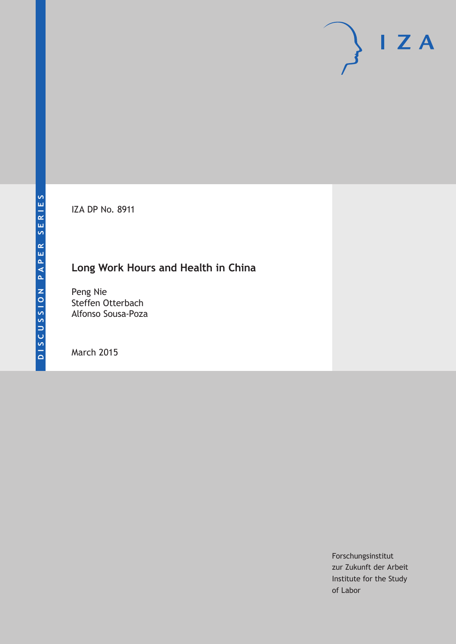IZA DP No. 8911

## **Long Work Hours and Health in China**

Peng Nie Steffen Otterbach Alfonso Sousa-Poza

March 2015

Forschungsinstitut zur Zukunft der Arbeit Institute for the Study of Labor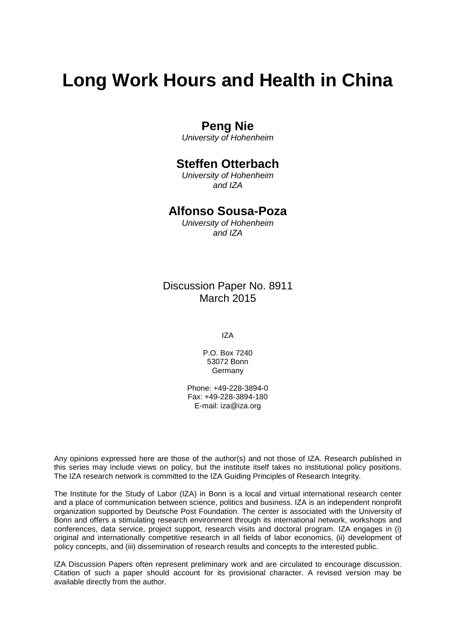# **Long Work Hours and Health in China**

## **Peng Nie**

*University of Hohenheim*

## **Steffen Otterbach**

*University of Hohenheim and IZA*

## **Alfonso Sousa-Poza**

*University of Hohenheim and IZA*

Discussion Paper No. 8911 March 2015

IZA

P.O. Box 7240 53072 Bonn Germany

Phone: +49-228-3894-0 Fax: +49-228-3894-180 E-mail: iza@iza.org

Any opinions expressed here are those of the author(s) and not those of IZA. Research published in this series may include views on policy, but the institute itself takes no institutional policy positions. The IZA research network is committed to the IZA Guiding Principles of Research Integrity.

The Institute for the Study of Labor (IZA) in Bonn is a local and virtual international research center and a place of communication between science, politics and business. IZA is an independent nonprofit organization supported by Deutsche Post Foundation. The center is associated with the University of Bonn and offers a stimulating research environment through its international network, workshops and conferences, data service, project support, research visits and doctoral program. IZA engages in (i) original and internationally competitive research in all fields of labor economics, (ii) development of policy concepts, and (iii) dissemination of research results and concepts to the interested public.

<span id="page-1-0"></span>IZA Discussion Papers often represent preliminary work and are circulated to encourage discussion. Citation of such a paper should account for its provisional character. A revised version may be available directly from the author.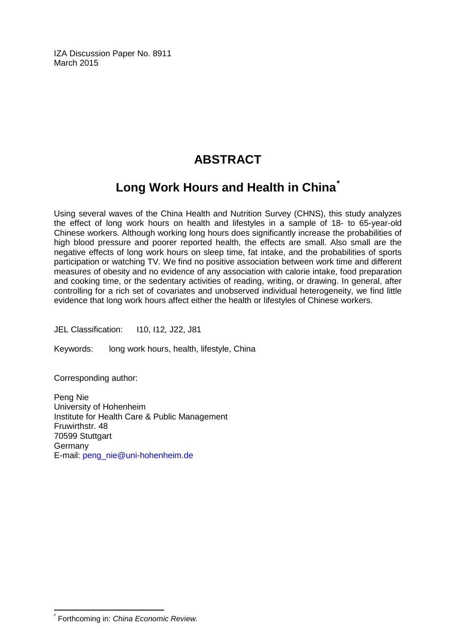IZA Discussion Paper No. 8911 March 2015

## **ABSTRACT**

## **Long Work Hours and Health in China[\\*](#page-1-0)**

Using several waves of the China Health and Nutrition Survey (CHNS), this study analyzes the effect of long work hours on health and lifestyles in a sample of 18- to 65-year-old Chinese workers. Although working long hours does significantly increase the probabilities of high blood pressure and poorer reported health, the effects are small. Also small are the negative effects of long work hours on sleep time, fat intake, and the probabilities of sports participation or watching TV. We find no positive association between work time and different measures of obesity and no evidence of any association with calorie intake, food preparation and cooking time, or the sedentary activities of reading, writing, or drawing. In general, after controlling for a rich set of covariates and unobserved individual heterogeneity, we find little evidence that long work hours affect either the health or lifestyles of Chinese workers.

JEL Classification: 110, 112, J22, J81

Keywords: long work hours, health, lifestyle, China

Corresponding author:

Peng Nie University of Hohenheim Institute for Health Care & Public Management Fruwirthstr. 48 70599 Stuttgart Germany E-mail: [peng\\_nie@uni-hohenheim.de](mailto:peng_nie@uni-hohenheim.de)

\* Forthcoming in: *China Economic Review.*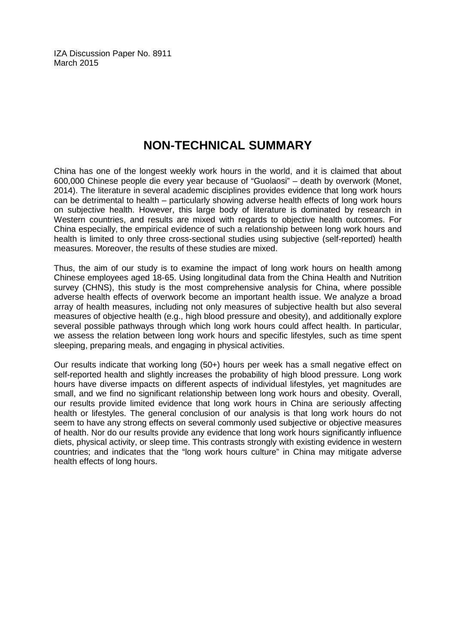IZA Discussion Paper No. 8911 March 2015

## **NON-TECHNICAL SUMMARY**

China has one of the longest weekly work hours in the world, and it is claimed that about 600,000 Chinese people die every year because of "Guolaosi" – death by overwork (Monet, 2014). The literature in several academic disciplines provides evidence that long work hours can be detrimental to health – particularly showing adverse health effects of long work hours on subjective health. However, this large body of literature is dominated by research in Western countries, and results are mixed with regards to objective health outcomes. For China especially, the empirical evidence of such a relationship between long work hours and health is limited to only three cross-sectional studies using subjective (self-reported) health measures. Moreover, the results of these studies are mixed.

Thus, the aim of our study is to examine the impact of long work hours on health among Chinese employees aged 18-65. Using longitudinal data from the China Health and Nutrition survey (CHNS), this study is the most comprehensive analysis for China, where possible adverse health effects of overwork become an important health issue. We analyze a broad array of health measures, including not only measures of subjective health but also several measures of objective health (e.g., high blood pressure and obesity), and additionally explore several possible pathways through which long work hours could affect health. In particular, we assess the relation between long work hours and specific lifestyles, such as time spent sleeping, preparing meals, and engaging in physical activities.

Our results indicate that working long (50+) hours per week has a small negative effect on self-reported health and slightly increases the probability of high blood pressure. Long work hours have diverse impacts on different aspects of individual lifestyles, yet magnitudes are small, and we find no significant relationship between long work hours and obesity. Overall, our results provide limited evidence that long work hours in China are seriously affecting health or lifestyles. The general conclusion of our analysis is that long work hours do not seem to have any strong effects on several commonly used subjective or objective measures of health. Nor do our results provide any evidence that long work hours significantly influence diets, physical activity, or sleep time. This contrasts strongly with existing evidence in western countries; and indicates that the "long work hours culture" in China may mitigate adverse health effects of long hours.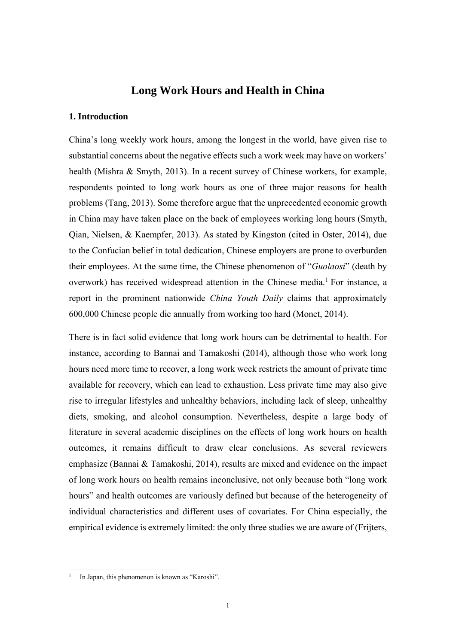## **Long Work Hours and Health in China**

#### **1. Introduction**

China's long weekly work hours, among the longest in the world, have given rise to substantial concerns about the negative effects such a work week may have on workers' health (Mishra & Smyth, 2013). In a recent survey of Chinese workers, for example, respondents pointed to long work hours as one of three major reasons for health problems (Tang, 2013). Some therefore argue that the unprecedented economic growth in China may have taken place on the back of employees working long hours (Smyth, Qian, Nielsen, & Kaempfer, 2013). As stated by Kingston (cited in Oster, 2014), due to the Confucian belief in total dedication, Chinese employers are prone to overburden their employees. At the same time, the Chinese phenomenon of "*Guolaosi*" (death by overwork) has received widespread attention in the Chinese media.<sup>1</sup> For instance, a report in the prominent nationwide *China Youth Daily* claims that approximately 600,000 Chinese people die annually from working too hard (Monet, 2014).

There is in fact solid evidence that long work hours can be detrimental to health. For instance, according to Bannai and Tamakoshi (2014), although those who work long hours need more time to recover, a long work week restricts the amount of private time available for recovery, which can lead to exhaustion. Less private time may also give rise to irregular lifestyles and unhealthy behaviors, including lack of sleep, unhealthy diets, smoking, and alcohol consumption. Nevertheless, despite a large body of literature in several academic disciplines on the effects of long work hours on health outcomes, it remains difficult to draw clear conclusions. As several reviewers emphasize (Bannai & Tamakoshi, 2014), results are mixed and evidence on the impact of long work hours on health remains inconclusive, not only because both "long work hours" and health outcomes are variously defined but because of the heterogeneity of individual characteristics and different uses of covariates. For China especially, the empirical evidence is extremely limited: the only three studies we are aware of (Frijters,

-

In Japan, this phenomenon is known as "Karoshi".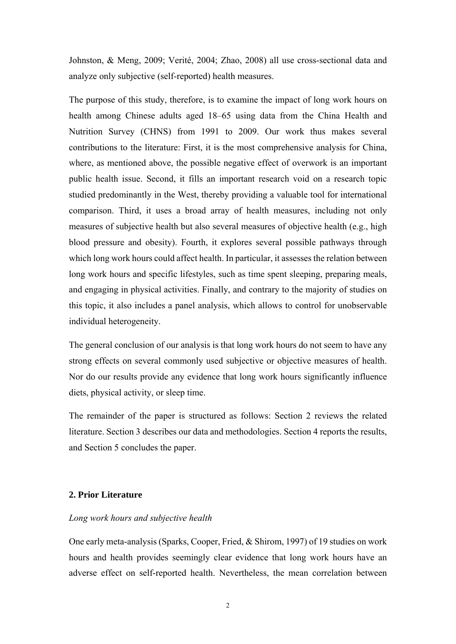Johnston, & Meng, 2009; Verité, 2004; Zhao, 2008) all use cross-sectional data and analyze only subjective (self-reported) health measures.

The purpose of this study, therefore, is to examine the impact of long work hours on health among Chinese adults aged 18–65 using data from the China Health and Nutrition Survey (CHNS) from 1991 to 2009. Our work thus makes several contributions to the literature: First, it is the most comprehensive analysis for China, where, as mentioned above, the possible negative effect of overwork is an important public health issue. Second, it fills an important research void on a research topic studied predominantly in the West, thereby providing a valuable tool for international comparison. Third, it uses a broad array of health measures, including not only measures of subjective health but also several measures of objective health (e.g., high blood pressure and obesity). Fourth, it explores several possible pathways through which long work hours could affect health. In particular, it assesses the relation between long work hours and specific lifestyles, such as time spent sleeping, preparing meals, and engaging in physical activities. Finally, and contrary to the majority of studies on this topic, it also includes a panel analysis, which allows to control for unobservable individual heterogeneity.

The general conclusion of our analysis is that long work hours do not seem to have any strong effects on several commonly used subjective or objective measures of health. Nor do our results provide any evidence that long work hours significantly influence diets, physical activity, or sleep time.

The remainder of the paper is structured as follows: Section 2 reviews the related literature. Section 3 describes our data and methodologies. Section 4 reports the results, and Section 5 concludes the paper.

#### **2. Prior Literature**

#### *Long work hours and subjective health*

One early meta-analysis (Sparks, Cooper, Fried, & Shirom, 1997) of 19 studies on work hours and health provides seemingly clear evidence that long work hours have an adverse effect on self-reported health. Nevertheless, the mean correlation between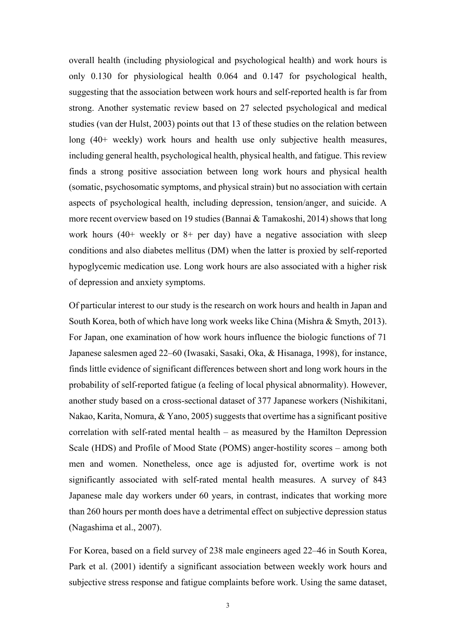overall health (including physiological and psychological health) and work hours is only 0.130 for physiological health 0.064 and 0.147 for psychological health, suggesting that the association between work hours and self-reported health is far from strong. Another systematic review based on 27 selected psychological and medical studies (van der Hulst, 2003) points out that 13 of these studies on the relation between long (40+ weekly) work hours and health use only subjective health measures, including general health, psychological health, physical health, and fatigue. This review finds a strong positive association between long work hours and physical health (somatic, psychosomatic symptoms, and physical strain) but no association with certain aspects of psychological health, including depression, tension/anger, and suicide. A more recent overview based on 19 studies (Bannai & Tamakoshi, 2014) shows that long work hours  $(40+)$  weekly or  $8+$  per day) have a negative association with sleep conditions and also diabetes mellitus (DM) when the latter is proxied by self-reported hypoglycemic medication use. Long work hours are also associated with a higher risk of depression and anxiety symptoms.

Of particular interest to our study is the research on work hours and health in Japan and South Korea, both of which have long work weeks like China (Mishra & Smyth, 2013). For Japan, one examination of how work hours influence the biologic functions of 71 Japanese salesmen aged 22–60 (Iwasaki, Sasaki, Oka, & Hisanaga, 1998), for instance, finds little evidence of significant differences between short and long work hours in the probability of self-reported fatigue (a feeling of local physical abnormality). However, another study based on a cross-sectional dataset of 377 Japanese workers (Nishikitani, Nakao, Karita, Nomura, & Yano, 2005) suggests that overtime has a significant positive correlation with self-rated mental health – as measured by the Hamilton Depression Scale (HDS) and Profile of Mood State (POMS) anger-hostility scores – among both men and women. Nonetheless, once age is adjusted for, overtime work is not significantly associated with self-rated mental health measures. A survey of 843 Japanese male day workers under 60 years, in contrast, indicates that working more than 260 hours per month does have a detrimental effect on subjective depression status (Nagashima et al., 2007).

For Korea, based on a field survey of 238 male engineers aged 22–46 in South Korea, Park et al. (2001) identify a significant association between weekly work hours and subjective stress response and fatigue complaints before work. Using the same dataset,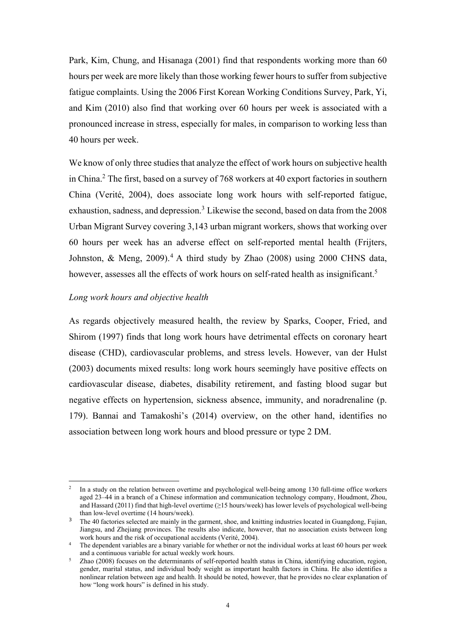Park, Kim, Chung, and Hisanaga (2001) find that respondents working more than 60 hours per week are more likely than those working fewer hours to suffer from subjective fatigue complaints. Using the 2006 First Korean Working Conditions Survey, Park, Yi, and Kim (2010) also find that working over 60 hours per week is associated with a pronounced increase in stress, especially for males, in comparison to working less than 40 hours per week.

We know of only three studies that analyze the effect of work hours on subjective health in China.<sup>2</sup> The first, based on a survey of 768 workers at 40 export factories in southern China (Verité, 2004), does associate long work hours with self-reported fatigue, exhaustion, sadness, and depression.<sup>3</sup> Likewise the second, based on data from the 2008 Urban Migrant Survey covering 3,143 urban migrant workers, shows that working over 60 hours per week has an adverse effect on self-reported mental health (Frijters, Johnston, & Meng,  $2009$ ).<sup>4</sup> A third study by Zhao (2008) using 2000 CHNS data, however, assesses all the effects of work hours on self-rated health as insignificant.<sup>5</sup>

#### *Long work hours and objective health*

As regards objectively measured health, the review by Sparks, Cooper, Fried, and Shirom (1997) finds that long work hours have detrimental effects on coronary heart disease (CHD), cardiovascular problems, and stress levels. However, van der Hulst (2003) documents mixed results: long work hours seemingly have positive effects on cardiovascular disease, diabetes, disability retirement, and fasting blood sugar but negative effects on hypertension, sickness absence, immunity, and noradrenaline (p. 179). Bannai and Tamakoshi's (2014) overview, on the other hand, identifies no association between long work hours and blood pressure or type 2 DM.

 $\mathfrak{I}$ 2 In a study on the relation between overtime and psychological well-being among 130 full-time office workers aged 23–44 in a branch of a Chinese information and communication technology company, Houdmont, Zhou, and Hassard (2011) find that high-level overtime (≥15 hours/week) has lower levels of psychological well-being than low-level overtime (14 hours/week).

<sup>&</sup>lt;sup>3</sup> The 40 factories selected are mainly in the garment, shoe, and knitting industries located in Guangdong, Fujian, Jiangsu, and Zhejiang provinces. The results also indicate, however, that no association exists between long work hours and the risk of occupational accidents (Verité, 2004).<br><sup>4</sup> The dependent variables are a binary variable for whether or not the individual works at least 60 hours per week

and a continuous variable for actual weekly work hours.<br> *Zhao* (2008) focuses on the determinants of self-reported health status in China, identifying education, region,

gender, marital status, and individual body weight as important health factors in China. He also identifies a nonlinear relation between age and health. It should be noted, however, that he provides no clear explanation of how "long work hours" is defined in his study.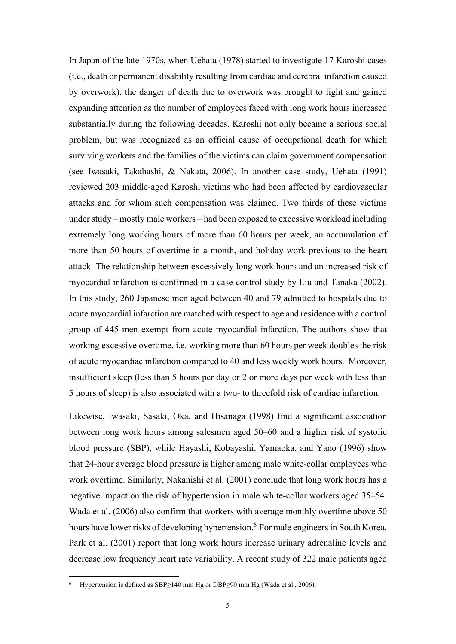In Japan of the late 1970s, when Uehata (1978) started to investigate 17 Karoshi cases (i.e., death or permanent disability resulting from cardiac and cerebral infarction caused by overwork), the danger of death due to overwork was brought to light and gained expanding attention as the number of employees faced with long work hours increased substantially during the following decades. Karoshi not only became a serious social problem, but was recognized as an official cause of occupational death for which surviving workers and the families of the victims can claim government compensation (see Iwasaki, Takahashi, & Nakata, 2006). In another case study, Uehata (1991) reviewed 203 middle-aged Karoshi victims who had been affected by cardiovascular attacks and for whom such compensation was claimed. Two thirds of these victims under study – mostly male workers – had been exposed to excessive workload including extremely long working hours of more than 60 hours per week, an accumulation of more than 50 hours of overtime in a month, and holiday work previous to the heart attack. The relationship between excessively long work hours and an increased risk of myocardial infarction is confirmed in a case-control study by Liu and Tanaka (2002). In this study, 260 Japanese men aged between 40 and 79 admitted to hospitals due to acute myocardial infarction are matched with respect to age and residence with a control group of 445 men exempt from acute myocardial infarction. The authors show that working excessive overtime, i.e. working more than 60 hours per week doubles the risk of acute myocardiac infarction compared to 40 and less weekly work hours. Moreover, insufficient sleep (less than 5 hours per day or 2 or more days per week with less than 5 hours of sleep) is also associated with a two- to threefold risk of cardiac infarction.

Likewise, Iwasaki, Sasaki, Oka, and Hisanaga (1998) find a significant association between long work hours among salesmen aged 50–60 and a higher risk of systolic blood pressure (SBP), while Hayashi, Kobayashi, Yamaoka, and Yano (1996) show that 24-hour average blood pressure is higher among male white-collar employees who work overtime. Similarly, Nakanishi et al. (2001) conclude that long work hours has a negative impact on the risk of hypertension in male white-collar workers aged 35–54. Wada et al. (2006) also confirm that workers with average monthly overtime above 50 hours have lower risks of developing hypertension.<sup>6</sup> For male engineers in South Korea, Park et al. (2001) report that long work hours increase urinary adrenaline levels and decrease low frequency heart rate variability. A recent study of 322 male patients aged

-

<sup>6</sup> Hypertension is defined as SBP≥140 mm Hg or DBP≥90 mm Hg (Wada et al., 2006).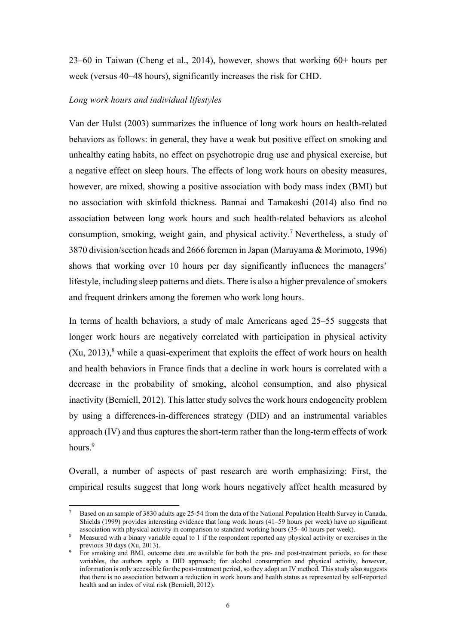23–60 in Taiwan (Cheng et al., 2014), however, shows that working 60+ hours per week (versus 40–48 hours), significantly increases the risk for CHD.

#### *Long work hours and individual lifestyles*

-

Van der Hulst (2003) summarizes the influence of long work hours on health-related behaviors as follows: in general, they have a weak but positive effect on smoking and unhealthy eating habits, no effect on psychotropic drug use and physical exercise, but a negative effect on sleep hours. The effects of long work hours on obesity measures, however, are mixed, showing a positive association with body mass index (BMI) but no association with skinfold thickness. Bannai and Tamakoshi (2014) also find no association between long work hours and such health-related behaviors as alcohol consumption, smoking, weight gain, and physical activity.<sup>7</sup> Nevertheless, a study of 3870 division/section heads and 2666 foremen in Japan (Maruyama & Morimoto, 1996) shows that working over 10 hours per day significantly influences the managers' lifestyle, including sleep patterns and diets. There is also a higher prevalence of smokers and frequent drinkers among the foremen who work long hours.

In terms of health behaviors, a study of male Americans aged 25–55 suggests that longer work hours are negatively correlated with participation in physical activity  $(Xu, 2013)$ ,<sup>8</sup> while a quasi-experiment that exploits the effect of work hours on health and health behaviors in France finds that a decline in work hours is correlated with a decrease in the probability of smoking, alcohol consumption, and also physical inactivity (Berniell, 2012). This latter study solves the work hours endogeneity problem by using a differences-in-differences strategy (DID) and an instrumental variables approach (IV) and thus captures the short-term rather than the long-term effects of work hours.<sup>9</sup>

Overall, a number of aspects of past research are worth emphasizing: First, the empirical results suggest that long work hours negatively affect health measured by

<sup>7</sup> Based on an sample of 3830 adults age 25-54 from the data of the National Population Health Survey in Canada, Shields (1999) provides interesting evidence that long work hours (41–59 hours per week) have no significant association with physical activity in comparison to standard working hours (35–40 hours per week).

<sup>&</sup>lt;sup>8</sup> Measured with a binary variable equal to 1 if the respondent reported any physical activity or exercises in the

previous 30 days (Xu, 2013). For smoking and BMI, outcome data are available for both the pre- and post-treatment periods, so for these variables, the authors apply a DID approach; for alcohol consumption and physical activity, however, information is only accessible for the post-treatment period, so they adopt an IV method. This study also suggests that there is no association between a reduction in work hours and health status as represented by self-reported health and an index of vital risk (Berniell, 2012).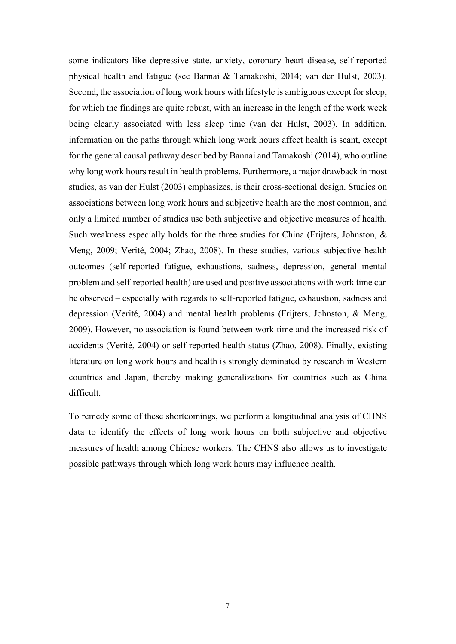some indicators like depressive state, anxiety, coronary heart disease, self-reported physical health and fatigue (see Bannai & Tamakoshi, 2014; van der Hulst, 2003). Second, the association of long work hours with lifestyle is ambiguous except for sleep, for which the findings are quite robust, with an increase in the length of the work week being clearly associated with less sleep time (van der Hulst, 2003). In addition, information on the paths through which long work hours affect health is scant, except for the general causal pathway described by Bannai and Tamakoshi (2014), who outline why long work hours result in health problems. Furthermore, a major drawback in most studies, as van der Hulst (2003) emphasizes, is their cross-sectional design. Studies on associations between long work hours and subjective health are the most common, and only a limited number of studies use both subjective and objective measures of health. Such weakness especially holds for the three studies for China (Frijters, Johnston, & Meng, 2009; Verité, 2004; Zhao, 2008). In these studies, various subjective health outcomes (self-reported fatigue, exhaustions, sadness, depression, general mental problem and self-reported health) are used and positive associations with work time can be observed – especially with regards to self-reported fatigue, exhaustion, sadness and depression (Verité, 2004) and mental health problems (Frijters, Johnston, & Meng, 2009). However, no association is found between work time and the increased risk of accidents (Verité, 2004) or self-reported health status (Zhao, 2008). Finally, existing literature on long work hours and health is strongly dominated by research in Western countries and Japan, thereby making generalizations for countries such as China difficult.

To remedy some of these shortcomings, we perform a longitudinal analysis of CHNS data to identify the effects of long work hours on both subjective and objective measures of health among Chinese workers. The CHNS also allows us to investigate possible pathways through which long work hours may influence health.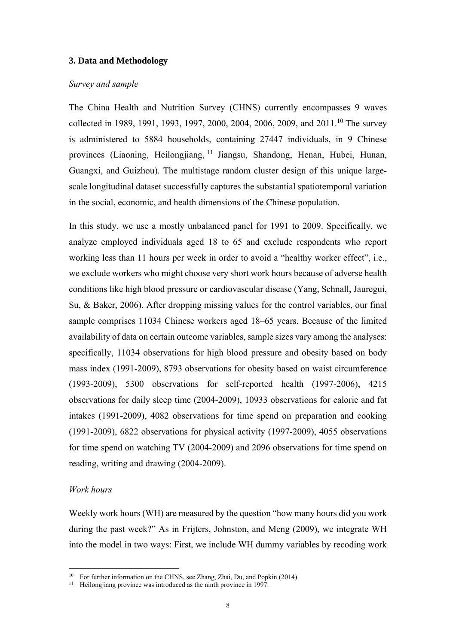#### **3. Data and Methodology**

#### *Survey and sample*

The China Health and Nutrition Survey (CHNS) currently encompasses 9 waves collected in 1989, 1991, 1993, 1997, 2000, 2004, 2006, 2009, and 2011.<sup>10</sup> The survey is administered to 5884 households, containing 27447 individuals, in 9 Chinese provinces (Liaoning, Heilongjiang, 11 Jiangsu, Shandong, Henan, Hubei, Hunan, Guangxi, and Guizhou). The multistage random cluster design of this unique largescale longitudinal dataset successfully captures the substantial spatiotemporal variation in the social, economic, and health dimensions of the Chinese population.

In this study, we use a mostly unbalanced panel for 1991 to 2009. Specifically, we analyze employed individuals aged 18 to 65 and exclude respondents who report working less than 11 hours per week in order to avoid a "healthy worker effect", i.e., we exclude workers who might choose very short work hours because of adverse health conditions like high blood pressure or cardiovascular disease (Yang, Schnall, Jauregui, Su, & Baker, 2006). After dropping missing values for the control variables, our final sample comprises 11034 Chinese workers aged 18–65 years. Because of the limited availability of data on certain outcome variables, sample sizes vary among the analyses: specifically, 11034 observations for high blood pressure and obesity based on body mass index (1991-2009), 8793 observations for obesity based on waist circumference (1993-2009), 5300 observations for self-reported health (1997-2006), 4215 observations for daily sleep time (2004-2009), 10933 observations for calorie and fat intakes (1991-2009), 4082 observations for time spend on preparation and cooking (1991-2009), 6822 observations for physical activity (1997-2009), 4055 observations for time spend on watching TV (2004-2009) and 2096 observations for time spend on reading, writing and drawing (2004-2009).

#### *Work hours*

-

Weekly work hours (WH) are measured by the question "how many hours did you work during the past week?" As in Frijters, Johnston, and Meng (2009), we integrate WH into the model in two ways: First, we include WH dummy variables by recoding work

<sup>&</sup>lt;sup>10</sup> For further information on the CHNS, see Zhang, Zhai, Du, and Popkin (2014).

<sup>&</sup>lt;sup>11</sup> Heilongjiang province was introduced as the ninth province in 1997.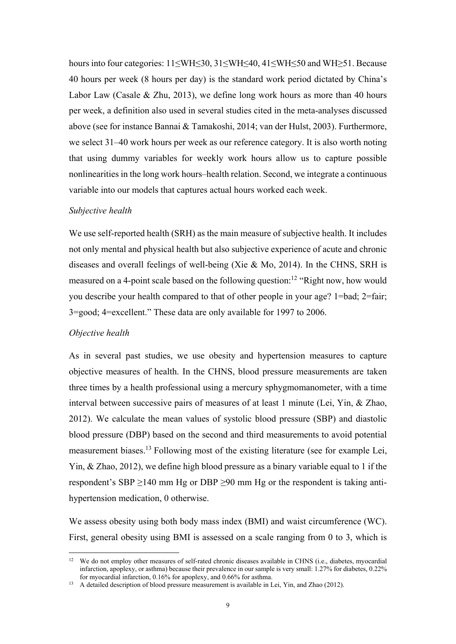hours into four categories: 11≤WH≤30, 31≤WH≤40, 41≤WH≤50 and WH≥51. Because 40 hours per week (8 hours per day) is the standard work period dictated by China's Labor Law (Casale & Zhu, 2013), we define long work hours as more than 40 hours per week, a definition also used in several studies cited in the meta-analyses discussed above (see for instance Bannai & Tamakoshi, 2014; van der Hulst, 2003). Furthermore, we select 31–40 work hours per week as our reference category. It is also worth noting that using dummy variables for weekly work hours allow us to capture possible nonlinearities in the long work hours–health relation. Second, we integrate a continuous variable into our models that captures actual hours worked each week.

#### *Subjective health*

We use self-reported health (SRH) as the main measure of subjective health. It includes not only mental and physical health but also subjective experience of acute and chronic diseases and overall feelings of well-being (Xie & Mo, 2014). In the CHNS, SRH is measured on a 4-point scale based on the following question:<sup>12</sup> "Right now, how would you describe your health compared to that of other people in your age? 1=bad; 2=fair; 3=good; 4=excellent." These data are only available for 1997 to 2006.

#### *Objective health*

-

As in several past studies, we use obesity and hypertension measures to capture objective measures of health. In the CHNS, blood pressure measurements are taken three times by a health professional using a mercury sphygmomanometer, with a time interval between successive pairs of measures of at least 1 minute (Lei, Yin, & Zhao, 2012). We calculate the mean values of systolic blood pressure (SBP) and diastolic blood pressure (DBP) based on the second and third measurements to avoid potential measurement biases.13 Following most of the existing literature (see for example Lei, Yin, & Zhao, 2012), we define high blood pressure as a binary variable equal to 1 if the respondent's SBP  $\geq$ 140 mm Hg or DBP  $\geq$ 90 mm Hg or the respondent is taking antihypertension medication, 0 otherwise.

We assess obesity using both body mass index (BMI) and waist circumference (WC). First, general obesity using BMI is assessed on a scale ranging from 0 to 3, which is

<sup>&</sup>lt;sup>12</sup> We do not employ other measures of self-rated chronic diseases available in CHNS (i.e., diabetes, myocardial infarction, apoplexy, or asthma) because their prevalence in our sample is very small: 1.27% for diabetes, 0.22%

for myocardial infarction, 0.16% for apoplexy, and 0.66% for asthma.<br><sup>13</sup> A detailed description of blood pressure measurement is available in Lei, Yin, and Zhao (2012).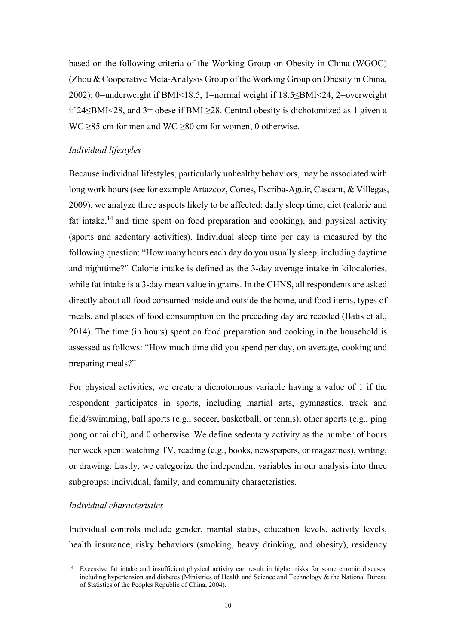based on the following criteria of the Working Group on Obesity in China (WGOC) (Zhou & Cooperative Meta-Analysis Group of the Working Group on Obesity in China, 2002): 0=underweight if BMI<18.5, 1=normal weight if 18.5≤BMI<24, 2=overweight if 24≤BMI<28, and 3= obese if BMI ≥28. Central obesity is dichotomized as 1 given a WC  $\geq$ 85 cm for men and WC  $\geq$ 80 cm for women, 0 otherwise.

### *Individual lifestyles*

Because individual lifestyles, particularly unhealthy behaviors, may be associated with long work hours (see for example Artazcoz, Cortes, Escriba-Aguir, Cascant, & Villegas, 2009), we analyze three aspects likely to be affected: daily sleep time, diet (calorie and fat intake, $^{14}$  and time spent on food preparation and cooking), and physical activity (sports and sedentary activities). Individual sleep time per day is measured by the following question: "How many hours each day do you usually sleep, including daytime and nighttime?" Calorie intake is defined as the 3-day average intake in kilocalories, while fat intake is a 3-day mean value in grams. In the CHNS, all respondents are asked directly about all food consumed inside and outside the home, and food items, types of meals, and places of food consumption on the preceding day are recoded (Batis et al., 2014). The time (in hours) spent on food preparation and cooking in the household is assessed as follows: "How much time did you spend per day, on average, cooking and preparing meals?"

For physical activities, we create a dichotomous variable having a value of 1 if the respondent participates in sports, including martial arts, gymnastics, track and field/swimming, ball sports (e.g., soccer, basketball, or tennis), other sports (e.g., ping pong or tai chi), and 0 otherwise. We define sedentary activity as the number of hours per week spent watching TV, reading (e.g., books, newspapers, or magazines), writing, or drawing. Lastly, we categorize the independent variables in our analysis into three subgroups: individual, family, and community characteristics.

### *Individual characteristics*

Individual controls include gender, marital status, education levels, activity levels, health insurance, risky behaviors (smoking, heavy drinking, and obesity), residency

<sup>-</sup><sup>14</sup> Excessive fat intake and insufficient physical activity can result in higher risks for some chronic diseases, including hypertension and diabetes (Ministries of Health and Science and Technology & the National Bureau of Statistics of the Peoples Republic of China, 2004).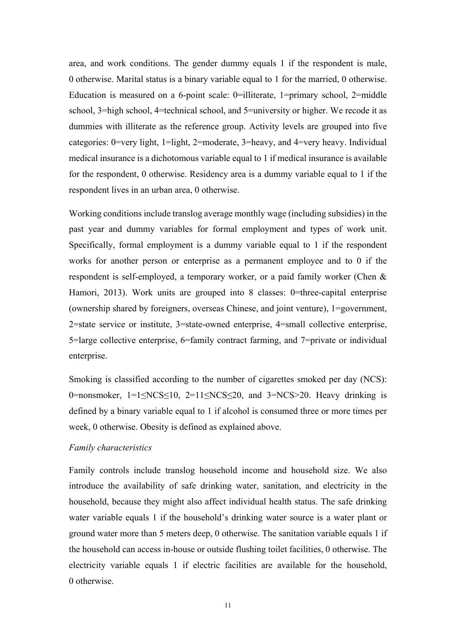area, and work conditions. The gender dummy equals 1 if the respondent is male, 0 otherwise. Marital status is a binary variable equal to 1 for the married, 0 otherwise. Education is measured on a 6-point scale: 0=illiterate, 1=primary school, 2=middle school, 3=high school, 4=technical school, and 5=university or higher. We recode it as dummies with illiterate as the reference group. Activity levels are grouped into five categories: 0=very light, 1=light, 2=moderate, 3=heavy, and 4=very heavy. Individual medical insurance is a dichotomous variable equal to 1 if medical insurance is available for the respondent, 0 otherwise. Residency area is a dummy variable equal to 1 if the respondent lives in an urban area, 0 otherwise.

Working conditions include translog average monthly wage (including subsidies) in the past year and dummy variables for formal employment and types of work unit. Specifically, formal employment is a dummy variable equal to 1 if the respondent works for another person or enterprise as a permanent employee and to 0 if the respondent is self-employed, a temporary worker, or a paid family worker (Chen & Hamori, 2013). Work units are grouped into 8 classes: 0=three-capital enterprise (ownership shared by foreigners, overseas Chinese, and joint venture), 1=government, 2=state service or institute, 3=state-owned enterprise, 4=small collective enterprise, 5=large collective enterprise, 6=family contract farming, and 7=private or individual enterprise.

Smoking is classified according to the number of cigarettes smoked per day (NCS): 0=nonsmoker,  $1=1 \leq NCS \leq 10$ ,  $2=11 \leq NCS \leq 20$ , and  $3=NCS>20$ . Heavy drinking is defined by a binary variable equal to 1 if alcohol is consumed three or more times per week, 0 otherwise. Obesity is defined as explained above.

#### *Family characteristics*

Family controls include translog household income and household size. We also introduce the availability of safe drinking water, sanitation, and electricity in the household, because they might also affect individual health status. The safe drinking water variable equals 1 if the household's drinking water source is a water plant or ground water more than 5 meters deep, 0 otherwise. The sanitation variable equals 1 if the household can access in-house or outside flushing toilet facilities, 0 otherwise. The electricity variable equals 1 if electric facilities are available for the household, 0 otherwise.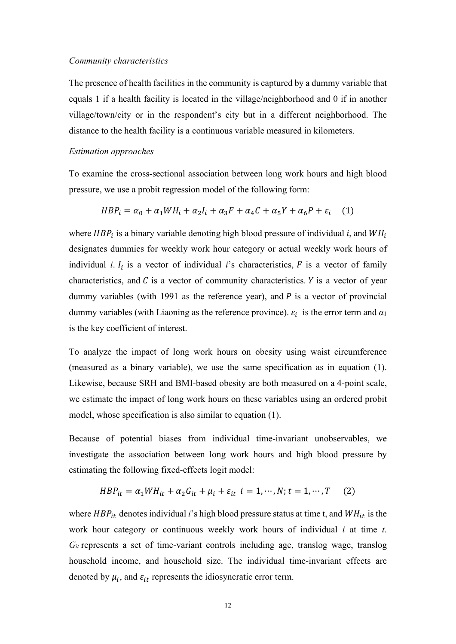#### *Community characteristics*

The presence of health facilities in the community is captured by a dummy variable that equals 1 if a health facility is located in the village/neighborhood and 0 if in another village/town/city or in the respondent's city but in a different neighborhood. The distance to the health facility is a continuous variable measured in kilometers.

#### *Estimation approaches*

To examine the cross-sectional association between long work hours and high blood pressure, we use a probit regression model of the following form:

$$
HBP_i = \alpha_0 + \alpha_1 WH_i + \alpha_2 I_i + \alpha_3 F + \alpha_4 C + \alpha_5 Y + \alpha_6 P + \varepsilon_i \tag{1}
$$

where  $HBP_i$  is a binary variable denoting high blood pressure of individual *i*, and  $WH_i$ designates dummies for weekly work hour category or actual weekly work hours of individual *i*.  $I_i$  is a vector of individual *i*'s characteristics,  $F$  is a vector of family characteristics, and  $C$  is a vector of community characteristics.  $Y$  is a vector of year dummy variables (with 1991 as the reference year), and  $P$  is a vector of provincial dummy variables (with Liaoning as the reference province).  $\varepsilon_i$  is the error term and  $\alpha_1$ is the key coefficient of interest.

To analyze the impact of long work hours on obesity using waist circumference (measured as a binary variable), we use the same specification as in equation (1). Likewise, because SRH and BMI-based obesity are both measured on a 4-point scale, we estimate the impact of long work hours on these variables using an ordered probit model, whose specification is also similar to equation (1).

Because of potential biases from individual time-invariant unobservables, we investigate the association between long work hours and high blood pressure by estimating the following fixed-effects logit model:

$$
HBP_{it} = \alpha_1 WH_{it} + \alpha_2 G_{it} + \mu_i + \varepsilon_{it} \quad i = 1, \cdots, N; t = 1, \cdots, T \tag{2}
$$

where  $HBP_{it}$  denotes individual *i*'s high blood pressure status at time t, and  $WH_{it}$  is the work hour category or continuous weekly work hours of individual *i* at time *t*. *Git* represents a set of time-variant controls including age, translog wage, translog household income, and household size. The individual time-invariant effects are denoted by  $\mu_i$ , and  $\varepsilon_{it}$  represents the idiosyncratic error term.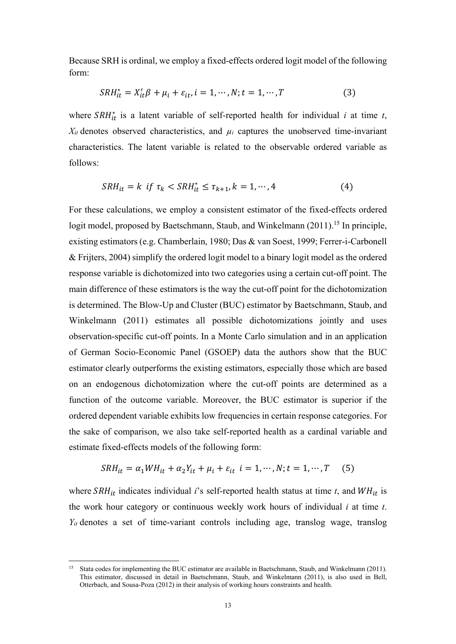Because SRH is ordinal, we employ a fixed-effects ordered logit model of the following form:

$$
SRH_{it}^* = X_{it}'\beta + \mu_i + \varepsilon_{it}, i = 1, \cdots, N; t = 1, \cdots, T
$$
\n(3)

where  $SRH_{it}^{*}$  is a latent variable of self-reported health for individual *i* at time *t*,  $X_{it}$  denotes observed characteristics, and  $\mu_i$  captures the unobserved time-invariant characteristics. The latent variable is related to the observable ordered variable as follows:

$$
SRH_{it} = k \text{ if } \tau_k < SRH_{it}^* \le \tau_{k+1}, k = 1, \cdots, 4 \tag{4}
$$

For these calculations, we employ a consistent estimator of the fixed-effects ordered logit model, proposed by Baetschmann, Staub, and Winkelmann  $(2011)$ <sup>15</sup> In principle, existing estimators (e.g. Chamberlain, 1980; Das & van Soest, 1999; Ferrer-i-Carbonell & Frijters, 2004) simplify the ordered logit model to a binary logit model as the ordered response variable is dichotomized into two categories using a certain cut-off point. The main difference of these estimators is the way the cut-off point for the dichotomization is determined. The Blow-Up and Cluster (BUC) estimator by Baetschmann, Staub, and Winkelmann (2011) estimates all possible dichotomizations jointly and uses observation-specific cut-off points. In a Monte Carlo simulation and in an application of German Socio-Economic Panel (GSOEP) data the authors show that the BUC estimator clearly outperforms the existing estimators, especially those which are based on an endogenous dichotomization where the cut-off points are determined as a function of the outcome variable. Moreover, the BUC estimator is superior if the ordered dependent variable exhibits low frequencies in certain response categories. For the sake of comparison, we also take self-reported health as a cardinal variable and estimate fixed-effects models of the following form:

$$
SRH_{it} = \alpha_1 WH_{it} + \alpha_2 Y_{it} + \mu_i + \varepsilon_{it} \quad i = 1, \cdots, N; t = 1, \cdots, T \tag{5}
$$

where  $SRH_{it}$  indicates individual *i*'s self-reported health status at time *t*, and  $WH_{it}$  is the work hour category or continuous weekly work hours of individual *i* at time *t*. *Yit* denotes a set of time-variant controls including age, translog wage, translog

 $15$ 15 Stata codes for implementing the BUC estimator are available in Baetschmann, Staub, and Winkelmann (2011). This estimator, discussed in detail in Baetschmann, Staub, and Winkelmann (2011), is also used in Bell, Otterbach, and Sousa-Poza (2012) in their analysis of working hours constraints and health.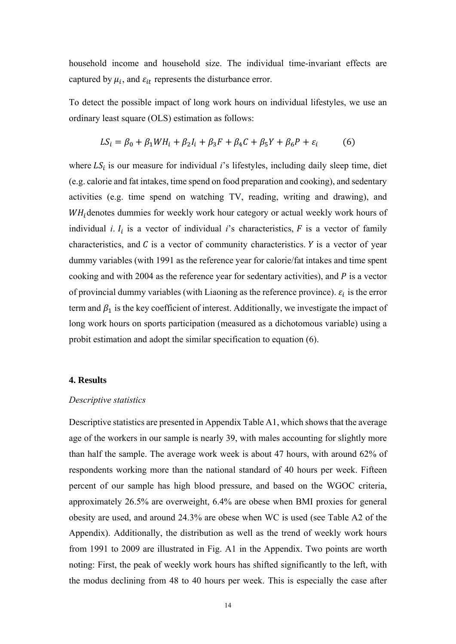household income and household size. The individual time-invariant effects are captured by  $\mu_i$ , and  $\varepsilon_{it}$  represents the disturbance error.

To detect the possible impact of long work hours on individual lifestyles, we use an ordinary least square (OLS) estimation as follows:

$$
LS_{i} = \beta_{0} + \beta_{1}WH_{i} + \beta_{2}I_{i} + \beta_{3}F + \beta_{4}C + \beta_{5}Y + \beta_{6}P + \varepsilon_{i}
$$
(6)

where  $LS<sub>i</sub>$  is our measure for individual *i*'s lifestyles, including daily sleep time, diet (e.g. calorie and fat intakes, time spend on food preparation and cooking), and sedentary activities (e.g. time spend on watching TV, reading, writing and drawing), and  $WH$ <sub>i</sub> denotes dummies for weekly work hour category or actual weekly work hours of individual *i*.  $I_i$  is a vector of individual *i*'s characteristics,  $F$  is a vector of family characteristics, and  $C$  is a vector of community characteristics.  $Y$  is a vector of year dummy variables (with 1991 as the reference year for calorie/fat intakes and time spent cooking and with 2004 as the reference year for sedentary activities), and  $P$  is a vector of provincial dummy variables (with Liaoning as the reference province).  $\varepsilon_i$  is the error term and  $\beta_1$  is the key coefficient of interest. Additionally, we investigate the impact of long work hours on sports participation (measured as a dichotomous variable) using a probit estimation and adopt the similar specification to equation (6).

#### **4. Results**

#### *Descriptive statistics*

Descriptive statistics are presented in Appendix Table A1, which shows that the average age of the workers in our sample is nearly 39, with males accounting for slightly more than half the sample. The average work week is about 47 hours, with around 62% of respondents working more than the national standard of 40 hours per week. Fifteen percent of our sample has high blood pressure, and based on the WGOC criteria, approximately 26.5% are overweight, 6.4% are obese when BMI proxies for general obesity are used, and around 24.3% are obese when WC is used (see Table A2 of the Appendix). Additionally, the distribution as well as the trend of weekly work hours from 1991 to 2009 are illustrated in Fig. A1 in the Appendix. Two points are worth noting: First, the peak of weekly work hours has shifted significantly to the left, with the modus declining from 48 to 40 hours per week. This is especially the case after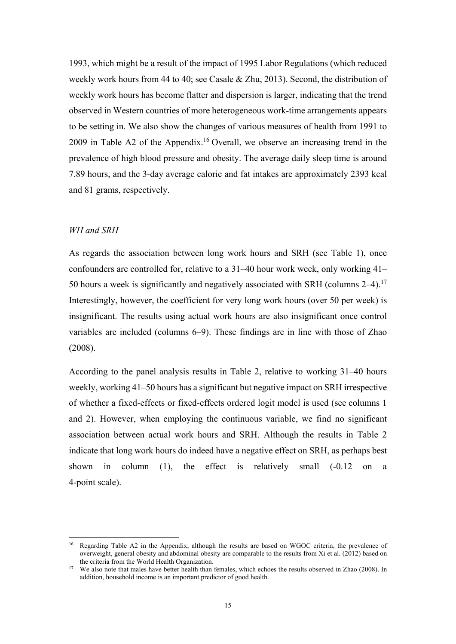1993, which might be a result of the impact of 1995 Labor Regulations (which reduced weekly work hours from 44 to 40; see Casale & Zhu, 2013). Second, the distribution of weekly work hours has become flatter and dispersion is larger, indicating that the trend observed in Western countries of more heterogeneous work-time arrangements appears to be setting in. We also show the changes of various measures of health from 1991 to 2009 in Table A2 of the Appendix.16 Overall, we observe an increasing trend in the prevalence of high blood pressure and obesity. The average daily sleep time is around 7.89 hours, and the 3-day average calorie and fat intakes are approximately 2393 kcal and 81 grams, respectively.

#### *WH and SRH*

-

As regards the association between long work hours and SRH (see Table 1), once confounders are controlled for, relative to a 31–40 hour work week, only working 41– 50 hours a week is significantly and negatively associated with SRH (columns 2–4).<sup>17</sup> Interestingly, however, the coefficient for very long work hours (over 50 per week) is insignificant. The results using actual work hours are also insignificant once control variables are included (columns 6–9). These findings are in line with those of Zhao (2008).

According to the panel analysis results in Table 2, relative to working 31–40 hours weekly, working 41–50 hours has a significant but negative impact on SRH irrespective of whether a fixed-effects or fixed-effects ordered logit model is used (see columns 1 and 2). However, when employing the continuous variable, we find no significant association between actual work hours and SRH. Although the results in Table 2 indicate that long work hours do indeed have a negative effect on SRH, as perhaps best shown in column (1), the effect is relatively small (-0.12 on a 4-point scale).

<sup>&</sup>lt;sup>16</sup> Regarding Table A2 in the Appendix, although the results are based on WGOC criteria, the prevalence of overweight, general obesity and abdominal obesity are comparable to the results from Xi et al. (2012) based on the criteria from the World Health Organization.

<sup>&</sup>lt;sup>17</sup> We also note that males have better health than females, which echoes the results observed in Zhao (2008). In addition, household income is an important predictor of good health.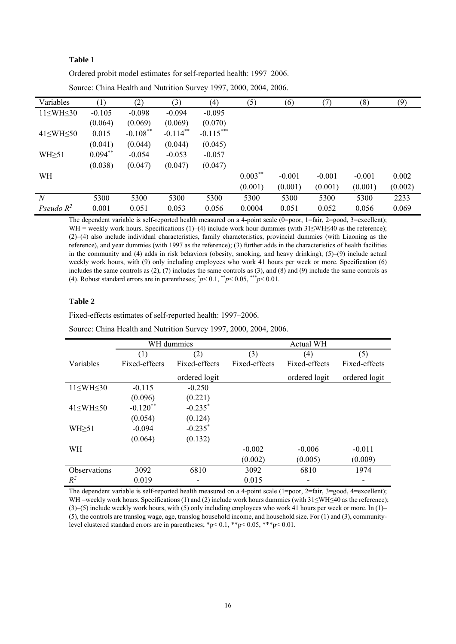#### **Table 1**

Ordered probit model estimates for self-reported health: 1997–2006.

| Variables            | (1)       | (2)         | (3)                    | (4)         | (5)        | (6)      | (7)      | (8)      | (9)     |
|----------------------|-----------|-------------|------------------------|-------------|------------|----------|----------|----------|---------|
| $11\leq WH\leq 30$   | $-0.105$  | $-0.098$    | $-0.094$               | $-0.095$    |            |          |          |          |         |
|                      | (0.064)   | (0.069)     | (0.069)                | (0.070)     |            |          |          |          |         |
| $41 \leq WH \leq 50$ | 0.015     | $-0.108$ ** | $-0.114$ <sup>**</sup> | $-0.115***$ |            |          |          |          |         |
|                      | (0.041)   | (0.044)     | (0.044)                | (0.045)     |            |          |          |          |         |
| $WH \geq 51$         | $0.094**$ | $-0.054$    | $-0.053$               | $-0.057$    |            |          |          |          |         |
|                      | (0.038)   | (0.047)     | (0.047)                | (0.047)     |            |          |          |          |         |
| WH                   |           |             |                        |             | $0.003***$ | $-0.001$ | $-0.001$ | $-0.001$ | 0.002   |
|                      |           |             |                        |             | (0.001)    | (0.001)  | (0.001)  | (0.001)  | (0.002) |
| N                    | 5300      | 5300        | 5300                   | 5300        | 5300       | 5300     | 5300     | 5300     | 2233    |
| Pseudo $R^2$         | 0.001     | 0.051       | 0.053                  | 0.056       | 0.0004     | 0.051    | 0.052    | 0.056    | 0.069   |

Source: China Health and Nutrition Survey 1997, 2000, 2004, 2006.

The dependent variable is self-reported health measured on a 4-point scale (0=poor, 1=fair, 2=good, 3=excellent); WH = weekly work hours. Specifications (1)–(4) include work hour dummies (with  $31\le W$ H $\le 40$  as the reference); (2)–(4) also include individual characteristics, family characteristics, provincial dummies (with Liaoning as the reference), and year dummies (with 1997 as the reference); (3) further adds in the characteristics of health facilities in the community and (4) adds in risk behaviors (obesity, smoking, and heavy drinking); (5)–(9) include actual weekly work hours, with (9) only including employees who work 41 hours per week or more. Specification (6) includes the same controls as  $(2)$ ,  $(7)$  includes the same controls as  $(3)$ , and  $(8)$  and  $(9)$  include the same controls as (4). Robust standard errors are in parentheses;  $\gamma p < 0.1$ ,  $\gamma p < 0.05$ ,  $\gamma p < 0.01$ .

#### **Table 2**

Fixed-effects estimates of self-reported health: 1997–2006.

|  | Source: China Health and Nutrition Survey 1997, 2000, 2004, 2006. |  |  |  |  |  |  |  |
|--|-------------------------------------------------------------------|--|--|--|--|--|--|--|
|--|-------------------------------------------------------------------|--|--|--|--|--|--|--|

|                      |               | WH dummies    |               | <b>Actual WH</b> |               |
|----------------------|---------------|---------------|---------------|------------------|---------------|
|                      | (1)           | (2)           | (3)           | (4)              | (5)           |
| Variables            | Fixed-effects | Fixed-effects | Fixed-effects | Fixed-effects    | Fixed-effects |
|                      |               | ordered logit |               | ordered logit    | ordered logit |
| $11\leq WH\leq 30$   | $-0.115$      | $-0.250$      |               |                  |               |
|                      | (0.096)       | (0.221)       |               |                  |               |
| $41 \leq WH \leq 50$ | $-0.120**$    | $-0.235*$     |               |                  |               |
|                      | (0.054)       | (0.124)       |               |                  |               |
| $WH \geq 51$         | $-0.094$      | $-0.235^*$    |               |                  |               |
|                      | (0.064)       | (0.132)       |               |                  |               |
| WH                   |               |               | $-0.002$      | $-0.006$         | $-0.011$      |
|                      |               |               | (0.002)       | (0.005)          | (0.009)       |
| <b>Observations</b>  | 3092          | 6810          | 3092          | 6810             | 1974          |
| $R^2$                | 0.019         |               | 0.015         |                  |               |

The dependent variable is self-reported health measured on a 4-point scale (1=poor, 2=fair, 3=good, 4=excellent); WH =weekly work hours. Specifications (1) and (2) include work hours dummies (with 31≤WH≤40 as the reference); (3)–(5) include weekly work hours, with (5) only including employees who work 41 hours per week or more. In (1)– (5), the controls are translog wage, age, translog household income, and household size. For (1) and (3), communitylevel clustered standard errors are in parentheses; \*p< 0.1, \*\*p< 0.05, \*\*\*p< 0.01.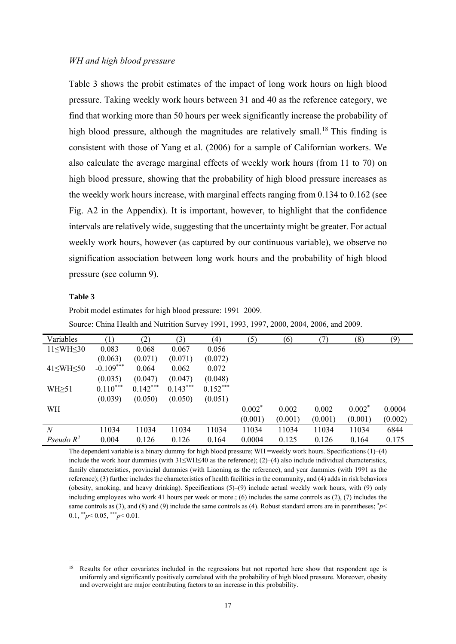#### *WH and high blood pressure*

Table 3 shows the probit estimates of the impact of long work hours on high blood pressure. Taking weekly work hours between 31 and 40 as the reference category, we find that working more than 50 hours per week significantly increase the probability of high blood pressure, although the magnitudes are relatively small.<sup>18</sup> This finding is consistent with those of Yang et al. (2006) for a sample of Californian workers. We also calculate the average marginal effects of weekly work hours (from 11 to 70) on high blood pressure, showing that the probability of high blood pressure increases as the weekly work hours increase, with marginal effects ranging from 0.134 to 0.162 (see Fig. A2 in the Appendix). It is important, however, to highlight that the confidence intervals are relatively wide, suggesting that the uncertainty might be greater. For actual weekly work hours, however (as captured by our continuous variable), we observe no signification association between long work hours and the probability of high blood pressure (see column 9).

#### **Table 3**

Probit model estimates for high blood pressure: 1991–2009.

Source: China Health and Nutrition Survey 1991, 1993, 1997, 2000, 2004, 2006, and 2009.

| Variables           |             | (2)        | (3)        | (4)        | (5)      | (6)     | (7)     | (8)      | (9)     |
|---------------------|-------------|------------|------------|------------|----------|---------|---------|----------|---------|
| $11\leq WH\leq 30$  | 0.083       | 0.068      | 0.067      | 0.056      |          |         |         |          |         |
|                     | (0.063)     | (0.071)    | (0.071)    | (0.072)    |          |         |         |          |         |
| $41\leq WH \leq 50$ | $-0.109***$ | 0.064      | 0.062      | 0.072      |          |         |         |          |         |
|                     | (0.035)     | (0.047)    | (0.047)    | (0.048)    |          |         |         |          |         |
| $WH \geq 51$        | $0.110***$  | $0.142***$ | $0.143***$ | $0.152***$ |          |         |         |          |         |
|                     | (0.039)     | (0.050)    | (0.050)    | (0.051)    |          |         |         |          |         |
| WH                  |             |            |            |            | $0.002*$ | 0.002   | 0.002   | $0.002*$ | 0.0004  |
|                     |             |            |            |            | (0.001)  | (0.001) | (0.001) | (0.001)  | (0.002) |
| N                   | 11034       | 11034      | 11034      | 11034      | 11034    | 11034   | 11034   | 11034    | 6844    |
| Pseudo $R^2$        | 0.004       | 0.126      | 0.126      | 0.164      | 0.0004   | 0.125   | 0.126   | 0.164    | 0.175   |

The dependent variable is a binary dummy for high blood pressure; WH =weekly work hours. Specifications (1)–(4) include the work hour dummies (with 31≤WH≤40 as the reference); (2)–(4) also include individual characteristics, family characteristics, provincial dummies (with Liaoning as the reference), and year dummies (with 1991 as the reference); (3) further includes the characteristics of health facilities in the community, and (4) adds in risk behaviors (obesity, smoking, and heavy drinking). Specifications (5)–(9) include actual weekly work hours, with (9) only including employees who work 41 hours per week or more.; (6) includes the same controls as  $(2)$ ,  $(7)$  includes the same controls as (3), and (8) and (9) include the same controls as (4). Robust standard errors are in parentheses;  $\gamma$ <sup>-</sup> 0.1,  $*^*p < 0.05$ ,  $*^*p < 0.01$ .

<sup>-</sup>Results for other covariates included in the regressions but not reported here show that respondent age is uniformly and significantly positively correlated with the probability of high blood pressure. Moreover, obesity and overweight are major contributing factors to an increase in this probability.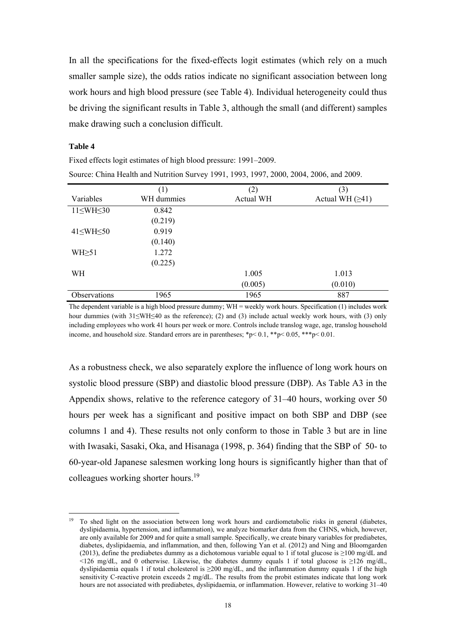In all the specifications for the fixed-effects logit estimates (which rely on a much smaller sample size), the odds ratios indicate no significant association between long work hours and high blood pressure (see Table 4). Individual heterogeneity could thus be driving the significant results in Table 3, although the small (and different) samples make drawing such a conclusion difficult.

#### **Table 4**

-

| SOUICG. CHINA FICARII AND INDURINGII SULVEY 1991, 1999, 1997, 2000, 2004, 2000, AND 2009. |            |           |                   |  |  |  |  |
|-------------------------------------------------------------------------------------------|------------|-----------|-------------------|--|--|--|--|
|                                                                                           | (1)        | (2)       | (3)               |  |  |  |  |
| Variables                                                                                 | WH dummies | Actual WH | Actual WH $(≥41)$ |  |  |  |  |
| $11\leq WH\leq 30$                                                                        | 0.842      |           |                   |  |  |  |  |
|                                                                                           | (0.219)    |           |                   |  |  |  |  |
| $41\leq WH \leq 50$                                                                       | 0.919      |           |                   |  |  |  |  |
|                                                                                           | (0.140)    |           |                   |  |  |  |  |
| $WH \geq 51$                                                                              | 1.272      |           |                   |  |  |  |  |
|                                                                                           | (0.225)    |           |                   |  |  |  |  |
| WH                                                                                        |            | 1.005     | 1.013             |  |  |  |  |
|                                                                                           |            | (0.005)   | (0.010)           |  |  |  |  |
| <b>Observations</b>                                                                       | 1965       | 1965      | 887               |  |  |  |  |

Source: China Health and Nutrition Survey 1991, 1993, 1997, 2000, 2004, 2006, and 2009.

Fixed effects logit estimates of high blood pressure: 1991–2009.

The dependent variable is a high blood pressure dummy; WH = weekly work hours. Specification (1) includes work hour dummies (with 31≤WH≤40 as the reference); (2) and (3) include actual weekly work hours, with (3) only including employees who work 41 hours per week or more. Controls include translog wage, age, translog household income, and household size. Standard errors are in parentheses;  $p \le 0.1$ ,  $\frac{1}{2}$ ,  $\frac{1}{2}$ ,  $\frac{1}{2}$ ,  $\frac{1}{2}$ ,  $\frac{1}{2}$ ,  $\frac{1}{2}$ ,  $\frac{1}{2}$ ,  $\frac{1}{2}$ ,  $\frac{1}{2}$ ,  $\frac{1}{2}$ ,  $\frac{1}{2}$ ,  $\frac{1}{2}$ ,  $\frac{1}{2}$ ,  $\frac$ 

As a robustness check, we also separately explore the influence of long work hours on systolic blood pressure (SBP) and diastolic blood pressure (DBP). As Table A3 in the Appendix shows, relative to the reference category of 31–40 hours, working over 50 hours per week has a significant and positive impact on both SBP and DBP (see columns 1 and 4). These results not only conform to those in Table 3 but are in line with Iwasaki, Sasaki, Oka, and Hisanaga (1998, p. 364) finding that the SBP of 50- to 60-year-old Japanese salesmen working long hours is significantly higher than that of colleagues working shorter hours.19

<sup>19</sup> To shed light on the association between long work hours and cardiometabolic risks in general (diabetes, dyslipidaemia, hypertension, and inflammation), we analyze biomarker data from the CHNS, which, however, are only available for 2009 and for quite a small sample. Specifically, we create binary variables for prediabetes, diabetes, dyslipidaemia, and inflammation, and then, following Yan et al. (2012) and Ning and Bloomgarden (2013), define the prediabetes dummy as a dichotomous variable equal to 1 if total glucose is ≥100 mg/dL and  $\leq$ 126 mg/dL, and 0 otherwise. Likewise, the diabetes dummy equals 1 if total glucose is ≥126 mg/dL, dyslipidaemia equals 1 if total cholesterol is  $\geq$ 200 mg/dL, and the inflammation dummy equals 1 if the high sensitivity C-reactive protein exceeds 2 mg/dL. The results from the probit estimates indicate that long work hours are not associated with prediabetes, dyslipidaemia, or inflammation. However, relative to working 31–40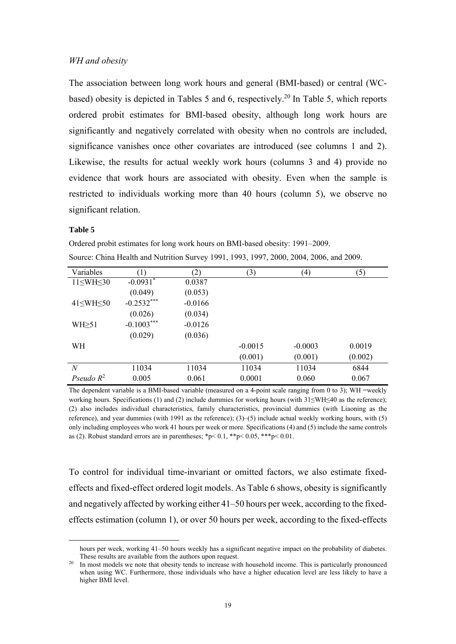#### *WH and obesity*

The association between long work hours and general (BMI-based) or central (WCbased) obesity is depicted in Tables 5 and 6, respectively.<sup>20</sup> In Table 5, which reports ordered probit estimates for BMI-based obesity, although long work hours are significantly and negatively correlated with obesity when no controls are included, significance vanishes once other covariates are introduced (see columns 1 and 2). Likewise, the results for actual weekly work hours (columns 3 and 4) provide no evidence that work hours are associated with obesity. Even when the sample is restricted to individuals working more than 40 hours (column 5), we observe no significant relation.

#### **Table 5**

-

Ordered probit estimates for long work hours on BMI-based obesity: 1991–2009. Source: China Health and Nutrition Survey 1991, 1993, 1997, 2000, 2004, 2006, and 2009.

| (1)          | (2)       | (3)       | $\left( 4\right)$ | (5)     |
|--------------|-----------|-----------|-------------------|---------|
| $-0.0931$ *  | 0.0387    |           |                   |         |
| (0.049)      | (0.053)   |           |                   |         |
| $-0.2532***$ | $-0.0166$ |           |                   |         |
| (0.026)      | (0.034)   |           |                   |         |
| $-0.1003***$ | $-0.0126$ |           |                   |         |
| (0.029)      | (0.036)   |           |                   |         |
|              |           | $-0.0015$ | $-0.0003$         | 0.0019  |
|              |           | (0.001)   | (0.001)           | (0.002) |
| 11034        | 11034     | 11034     | 11034             | 6844    |
| 0.005        | 0.061     | 0.0001    | 0.060             | 0.067   |
|              |           |           |                   |         |

The dependent variable is a BMI-based variable (measured on a 4-point scale ranging from 0 to 3); WH =weekly working hours. Specifications (1) and (2) include dummies for working hours (with 31≤WH≤40 as the reference); (2) also includes individual characteristics, family characteristics, provincial dummies (with Liaoning as the reference), and year dummies (with 1991 as the reference); (3)–(5) include actual weekly working hours, with (5) only including employees who work 41 hours per week or more. Specifications (4) and (5) include the same controls as (2). Robust standard errors are in parentheses;  $p < 0.1$ ,  $* p < 0.05$ ,  $* * p < 0.01$ .

To control for individual time-invariant or omitted factors, we also estimate fixedeffects and fixed-effect ordered logit models. As Table 6 shows, obesity is significantly and negatively affected by working either 41–50 hours per week, according to the fixedeffects estimation (column 1), or over 50 hours per week, according to the fixed-effects

hours per week, working 41–50 hours weekly has a significant negative impact on the probability of diabetes.<br>These results are available from the authors upon request.

In most models we note that obesity tends to increase with household income. This is particularly pronounced when using WC. Furthermore, those individuals who have a higher education level are less likely to have a higher BMI level.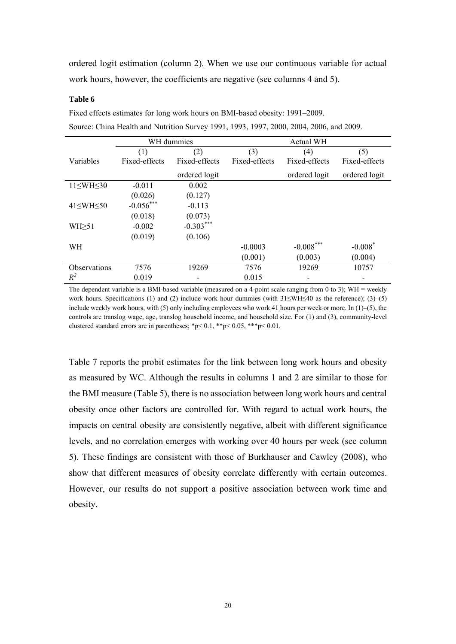ordered logit estimation (column 2). When we use our continuous variable for actual work hours, however, the coefficients are negative (see columns 4 and 5).

#### **Table 6**

Fixed effects estimates for long work hours on BMI-based obesity: 1991–2009. Source: China Health and Nutrition Survey 1991, 1993, 1997, 2000, 2004, 2006, and 2009.

|                      |               | WH dummies    |               | <b>Actual WH</b> |               |
|----------------------|---------------|---------------|---------------|------------------|---------------|
|                      | (1)           | (2)           | (3)           | (4)              | (5)           |
| Variables            | Fixed-effects | Fixed-effects | Fixed-effects | Fixed-effects    | Fixed-effects |
|                      |               | ordered logit |               | ordered logit    | ordered logit |
| $11\leq WH\leq 30$   | $-0.011$      | 0.002         |               |                  |               |
|                      | (0.026)       | (0.127)       |               |                  |               |
| $41 \leq WH \leq 50$ | $-0.056***$   | $-0.113$      |               |                  |               |
|                      | (0.018)       | (0.073)       |               |                  |               |
| $WH \geq 51$         | $-0.002$      | $-0.303***$   |               |                  |               |
|                      | (0.019)       | (0.106)       |               |                  |               |
| <b>WH</b>            |               |               | $-0.0003$     | $-0.008***$      | $-0.008*$     |
|                      |               |               | (0.001)       | (0.003)          | (0.004)       |
| <b>Observations</b>  | 7576          | 19269         | 7576          | 19269            | 10757         |
| $R^2$                | 0.019         | -             | 0.015         |                  |               |

The dependent variable is a BMI-based variable (measured on a 4-point scale ranging from 0 to 3); WH = weekly work hours. Specifications (1) and (2) include work hour dummies (with  $31\le WH \le 40$  as the reference); (3)–(5) include weekly work hours, with (5) only including employees who work 41 hours per week or more. In (1)–(5), the controls are translog wage, age, translog household income, and household size. For (1) and (3), community-level clustered standard errors are in parentheses; \*p< 0.1, \*\*p< 0.05, \*\*\*p< 0.01.

Table 7 reports the probit estimates for the link between long work hours and obesity as measured by WC. Although the results in columns 1 and 2 are similar to those for the BMI measure (Table 5), there is no association between long work hours and central obesity once other factors are controlled for. With regard to actual work hours, the impacts on central obesity are consistently negative, albeit with different significance levels, and no correlation emerges with working over 40 hours per week (see column 5). These findings are consistent with those of Burkhauser and Cawley (2008), who show that different measures of obesity correlate differently with certain outcomes. However, our results do not support a positive association between work time and obesity.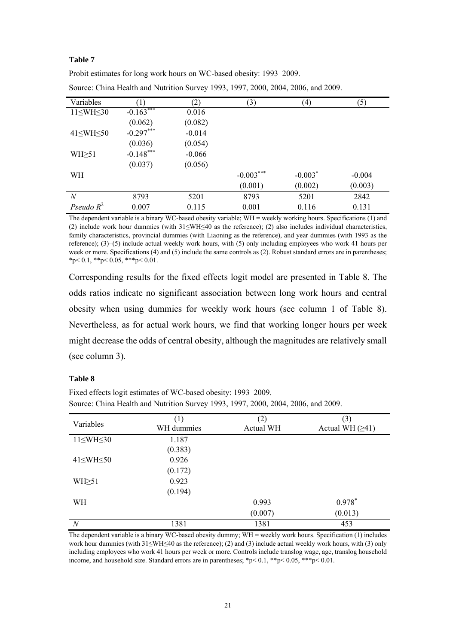#### **Table 7**

| Variables           |             | (2)      | (3)         | (4)       | (5)      |
|---------------------|-------------|----------|-------------|-----------|----------|
| $11\leq WH\leq 30$  | $-0.163***$ | 0.016    |             |           |          |
|                     | (0.062)     | (0.082)  |             |           |          |
| $41\leq WH \leq 50$ | $-0.297***$ | $-0.014$ |             |           |          |
|                     | (0.036)     | (0.054)  |             |           |          |
| $WH \geq 51$        | $-0.148***$ | $-0.066$ |             |           |          |
|                     | (0.037)     | (0.056)  |             |           |          |
| WH                  |             |          | $-0.003***$ | $-0.003*$ | $-0.004$ |
|                     |             |          | (0.001)     | (0.002)   | (0.003)  |
| N                   | 8793        | 5201     | 8793        | 5201      | 2842     |
| Pseudo $R^2$        | 0.007       | 0.115    | 0.001       | 0.116     | 0.131    |

Source: China Health and Nutrition Survey 1993, 1997, 2000, 2004, 2006, and 2009.

Probit estimates for long work hours on WC-based obesity: 1993–2009.

The dependent variable is a binary WC-based obesity variable; WH = weekly working hours. Specifications (1) and (2) include work hour dummies (with 31≤WH≤40 as the reference); (2) also includes individual characteristics, family characteristics, provincial dummies (with Liaoning as the reference), and year dummies (with 1993 as the reference); (3)–(5) include actual weekly work hours, with (5) only including employees who work 41 hours per week or more. Specifications (4) and (5) include the same controls as (2). Robust standard errors are in parentheses;  $*_{p}$  < 0.1,  $*_{p}$  < 0.05,  $*_{p}$  < 0.01.

Corresponding results for the fixed effects logit model are presented in Table 8. The odds ratios indicate no significant association between long work hours and central obesity when using dummies for weekly work hours (see column 1 of Table 8). Nevertheless, as for actual work hours, we find that working longer hours per week might decrease the odds of central obesity, although the magnitudes are relatively small (see column 3).

#### **Table 8**

Fixed effects logit estimates of WC-based obesity: 1993–2009. Source: China Health and Nutrition Survey 1993, 1997, 2000, 2004, 2006, and 2009.

| Variables           | (1)<br>WH dummies | (2)<br>Actual WH | (3)<br>Actual WH $(≥41)$ |
|---------------------|-------------------|------------------|--------------------------|
| $11\leq WH\leq 30$  | 1.187             |                  |                          |
|                     | (0.383)           |                  |                          |
| $41\leq WH \leq 50$ | 0.926             |                  |                          |
|                     | (0.172)           |                  |                          |
| $WH \geq 51$        | 0.923             |                  |                          |
|                     | (0.194)           |                  |                          |
| WH                  |                   | 0.993            | $0.978*$                 |
|                     |                   | (0.007)          | (0.013)                  |
| $\boldsymbol{N}$    | 1381              | 1381             | 453                      |

The dependent variable is a binary WC-based obesity dummy; WH = weekly work hours. Specification (1) includes work hour dummies (with 31≤WH≤40 as the reference); (2) and (3) include actual weekly work hours, with (3) only including employees who work 41 hours per week or more. Controls include translog wage, age, translog household income, and household size. Standard errors are in parentheses;  $*p < 0.1$ ,  $**p < 0.05$ ,  $**p < 0.01$ .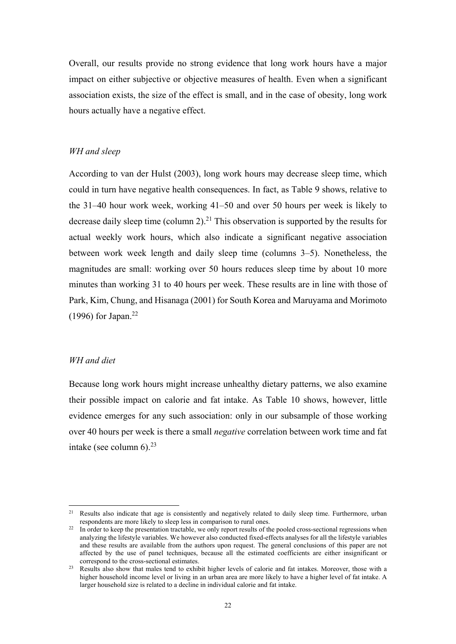Overall, our results provide no strong evidence that long work hours have a major impact on either subjective or objective measures of health. Even when a significant association exists, the size of the effect is small, and in the case of obesity, long work hours actually have a negative effect.

#### *WH and sleep*

According to van der Hulst (2003), long work hours may decrease sleep time, which could in turn have negative health consequences. In fact, as Table 9 shows, relative to the 31–40 hour work week, working 41–50 and over 50 hours per week is likely to decrease daily sleep time (column 2).<sup>21</sup> This observation is supported by the results for actual weekly work hours, which also indicate a significant negative association between work week length and daily sleep time (columns 3–5). Nonetheless, the magnitudes are small: working over 50 hours reduces sleep time by about 10 more minutes than working 31 to 40 hours per week. These results are in line with those of Park, Kim, Chung, and Hisanaga (2001) for South Korea and Maruyama and Morimoto (1996) for Japan.<sup>22</sup>

#### *WH and diet*

-

Because long work hours might increase unhealthy dietary patterns, we also examine their possible impact on calorie and fat intake. As Table 10 shows, however, little evidence emerges for any such association: only in our subsample of those working over 40 hours per week is there a small *negative* correlation between work time and fat intake (see column  $6$ ).<sup>23</sup>

<sup>&</sup>lt;sup>21</sup> Results also indicate that age is consistently and negatively related to daily sleep time. Furthermore, urban

respondents are more likely to sleep less in comparison to rural ones.<br><sup>22</sup> In order to keep the presentation tractable, we only report results of the pooled cross-sectional regressions when analyzing the lifestyle variables. We however also conducted fixed-effects analyses for all the lifestyle variables and these results are available from the authors upon request. The general conclusions of this paper are not affected by the use of panel techniques, because all the estimated coefficients are either insignificant or

<sup>&</sup>lt;sup>23</sup> Results also show that males tend to exhibit higher levels of calorie and fat intakes. Moreover, those with a higher household income level or living in an urban area are more likely to have a higher level of fat intake. A larger household size is related to a decline in individual calorie and fat intake.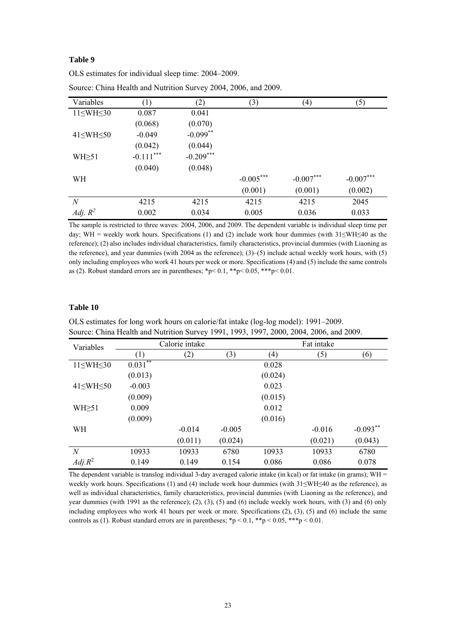#### **Table 9**

| Variables           | (1)         | (2)         | (3)         | (4)         | (5)         |
|---------------------|-------------|-------------|-------------|-------------|-------------|
| $11\leq WH\leq 30$  | 0.087       | 0.041       |             |             |             |
|                     | (0.068)     | (0.070)     |             |             |             |
| $41\leq WH \leq 50$ | $-0.049$    | $-0.099**$  |             |             |             |
|                     | (0.042)     | (0.044)     |             |             |             |
| $WH \geq 51$        | $-0.111***$ | $-0.209***$ |             |             |             |
|                     | (0.040)     | (0.048)     |             |             |             |
| <b>WH</b>           |             |             | $-0.005***$ | $-0.007***$ | $-0.007***$ |
|                     |             |             | (0.001)     | (0.001)     | (0.002)     |
| $\boldsymbol{N}$    | 4215        | 4215        | 4215        | 4215        | 2045        |
| Adj. $R^2$          | 0.002       | 0.034       | 0.005       | 0.036       | 0.033       |

OLS estimates for individual sleep time: 2004–2009. Source: China Health and Nutrition Survey 2004, 2006, and 2009.

The sample is restricted to three waves: 2004, 2006, and 2009. The dependent variable is individual sleep time per day; WH = weekly work hours. Specifications (1) and (2) include work hour dummies (with  $31\le WH \le 40$  as the reference); (2) also includes individual characteristics, family characteristics, provincial dummies (with Liaoning as the reference), and year dummies (with 2004 as the reference);  $(3)-(5)$  include actual weekly work hours, with (5) only including employees who work 41 hours per week or more. Specifications (4) and (5) include the same controls as (2). Robust standard errors are in parentheses; \*p< 0.1, \*\*p< 0.05, \*\*\*p< 0.01.

#### **Table 10**

OLS estimates for long work hours on calorie/fat intake (log-log model): 1991–2009. Source: China Health and Nutrition Survey 1991, 1993, 1997, 2000, 2004, 2006, and 2009.

| Variables           |              | Calorie intake |          |         | Fat intake |            |
|---------------------|--------------|----------------|----------|---------|------------|------------|
|                     | (1)          | (2)            | (3)      | (4)     | (5)        | (6)        |
| $11\leq WH\leq 30$  | $0.031^{**}$ |                |          | 0.028   |            |            |
|                     | (0.013)      |                |          | (0.024) |            |            |
| $41\leq WH \leq 50$ | $-0.003$     |                |          | 0.023   |            |            |
|                     | (0.009)      |                |          | (0.015) |            |            |
| $WH \geq 51$        | 0.009        |                |          | 0.012   |            |            |
|                     | (0.009)      |                |          | (0.016) |            |            |
| WH                  |              | $-0.014$       | $-0.005$ |         | $-0.016$   | $-0.093**$ |
|                     |              | (0.011)        | (0.024)  |         | (0.021)    | (0.043)    |
| $\overline{N}$      | 10933        | 10933          | 6780     | 10933   | 10933      | 6780       |
| $Adj R^2$           | 0.149        | 0.149          | 0.154    | 0.086   | 0.086      | 0.078      |

The dependent variable is translog individual 3-day averaged calorie intake (in kcal) or fat intake (in grams); WH = weekly work hours. Specifications (1) and (4) include work hour dummies (with 31≤WH≤40 as the reference), as well as individual characteristics, family characteristics, provincial dummies (with Liaoning as the reference), and year dummies (with 1991 as the reference); (2), (3), (5) and (6) include weekly work hours, with (3) and (6) only including employees who work 41 hours per week or more. Specifications (2), (3), (5) and (6) include the same controls as (1). Robust standard errors are in parentheses; \*p < 0.1, \*\*p < 0.05, \*\*\*p < 0.01.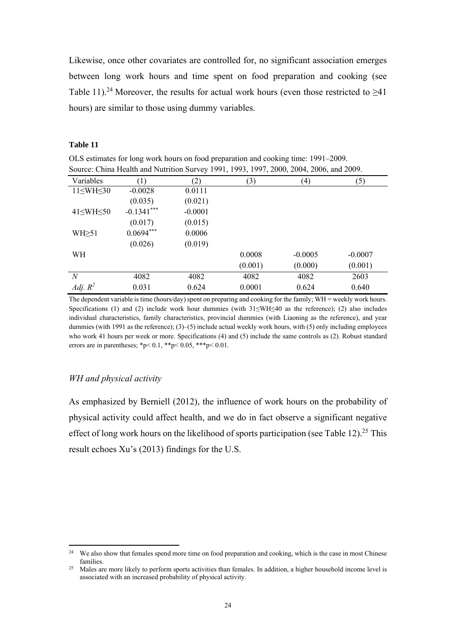Likewise, once other covariates are controlled for, no significant association emerges between long work hours and time spent on food preparation and cooking (see Table 11).<sup>24</sup> Moreover, the results for actual work hours (even those restricted to  $\geq 41$ hours) are similar to those using dummy variables.

#### **Table 11**

OLS estimates for long work hours on food preparation and cooking time: 1991–2009. Source: China Health and Nutrition Survey 1991, 1993, 1997, 2000, 2004, 2006, and 2009.

| Variables           | (1)           | (2)       | (3)     | (4)       | (5)       |
|---------------------|---------------|-----------|---------|-----------|-----------|
| $11\leq WH\leq 30$  | $-0.0028$     | 0.0111    |         |           |           |
|                     | (0.035)       | (0.021)   |         |           |           |
| $41\leq WH \leq 50$ | $-0.1341$ *** | $-0.0001$ |         |           |           |
|                     | (0.017)       | (0.015)   |         |           |           |
| $WH \geq 51$        | $0.0694***$   | 0.0006    |         |           |           |
|                     | (0.026)       | (0.019)   |         |           |           |
| WH                  |               |           | 0.0008  | $-0.0005$ | $-0.0007$ |
|                     |               |           | (0.001) | (0.000)   | (0.001)   |
| $\it N$             | 4082          | 4082      | 4082    | 4082      | 2603      |
| Adj. $R^2$          | 0.031         | 0.624     | 0.0001  | 0.624     | 0.640     |

The dependent variable is time (hours/day) spent on preparing and cooking for the family; WH = weekly work hours. Specifications (1) and (2) include work hour dummies (with 31≤WH≤40 as the reference); (2) also includes individual characteristics, family characteristics, provincial dummies (with Liaoning as the reference), and year dummies (with 1991 as the reference); (3)–(5) include actual weekly work hours, with (5) only including employees who work 41 hours per week or more. Specifications (4) and (5) include the same controls as (2). Robust standard errors are in parentheses; \*p< 0.1, \*\*p< 0.05, \*\*\*p< 0.01.

#### *WH and physical activity*

-

As emphasized by Berniell (2012), the influence of work hours on the probability of physical activity could affect health, and we do in fact observe a significant negative effect of long work hours on the likelihood of sports participation (see Table 12).<sup>25</sup> This result echoes Xu's (2013) findings for the U.S.

 $24$  We also show that females spend more time on food preparation and cooking, which is the case in most Chinese families.<br><sup>25</sup> Males are more likely to perform sports activities than females. In addition, a higher household income level is

associated with an increased probability of physical activity.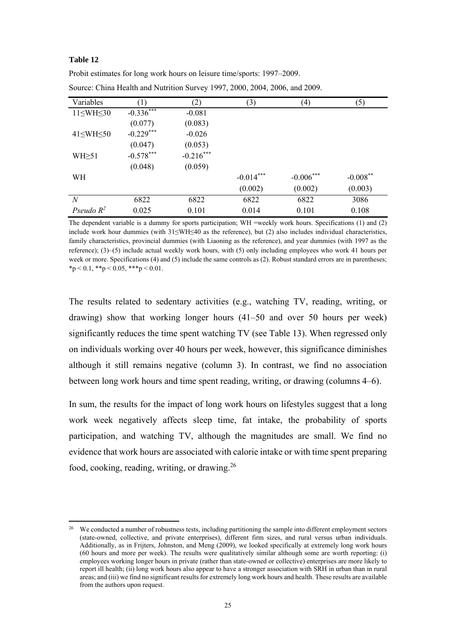#### **Table 12**

-

| Variables           |              | (2)         | (3)         | (4)         | (5)         |
|---------------------|--------------|-------------|-------------|-------------|-------------|
| $11\leq WH\leq 30$  | $-0.336$ *** | $-0.081$    |             |             |             |
|                     | (0.077)      | (0.083)     |             |             |             |
| $41\leq WH \leq 50$ | $-0.229***$  | $-0.026$    |             |             |             |
|                     | (0.047)      | (0.053)     |             |             |             |
| $WH \geq 51$        | $-0.578***$  | $-0.216***$ |             |             |             |
|                     | (0.048)      | (0.059)     |             |             |             |
| <b>WH</b>           |              |             | $-0.014***$ | $-0.006***$ | $-0.008***$ |
|                     |              |             | (0.002)     | (0.002)     | (0.003)     |
| N                   | 6822         | 6822        | 6822        | 6822        | 3086        |
| Pseudo $R^2$        | 0.025        | 0.101       | 0.014       | 0.101       | 0.108       |

Source: China Health and Nutrition Survey 1997, 2000, 2004, 2006, and 2009.

Probit estimates for long work hours on leisure time/sports: 1997–2009.

The dependent variable is a dummy for sports participation; WH =weekly work hours. Specifications (1) and (2) include work hour dummies (with 31≤WH≤40 as the reference), but (2) also includes individual characteristics, family characteristics, provincial dummies (with Liaoning as the reference), and year dummies (with 1997 as the reference); (3)–(5) include actual weekly work hours, with (5) only including employees who work 41 hours per week or more. Specifications (4) and (5) include the same controls as (2). Robust standard errors are in parentheses;  $*_p$  < 0.1,  $*_p$  < 0.05,  $**_p$  < 0.01.

The results related to sedentary activities (e.g., watching TV, reading, writing, or drawing) show that working longer hours (41–50 and over 50 hours per week) significantly reduces the time spent watching TV (see Table 13). When regressed only on individuals working over 40 hours per week, however, this significance diminishes although it still remains negative (column 3). In contrast, we find no association between long work hours and time spent reading, writing, or drawing (columns 4–6).

In sum, the results for the impact of long work hours on lifestyles suggest that a long work week negatively affects sleep time, fat intake, the probability of sports participation, and watching TV, although the magnitudes are small. We find no evidence that work hours are associated with calorie intake or with time spent preparing food, cooking, reading, writing, or drawing.26

<sup>&</sup>lt;sup>26</sup> We conducted a number of robustness tests, including partitioning the sample into different employment sectors (state-owned, collective, and private enterprises), different firm sizes, and rural versus urban individuals. Additionally, as in Frijters, Johnston, and Meng (2009), we looked specifically at extremely long work hours (60 hours and more per week). The results were qualitatively similar although some are worth reporting: (i) employees working longer hours in private (rather than state-owned or collective) enterprises are more likely to report ill health; (ii) long work hours also appear to have a stronger association with SRH in urban than in rural areas; and (iii) we find no significant results for extremely long work hours and health. These results are available from the authors upon request.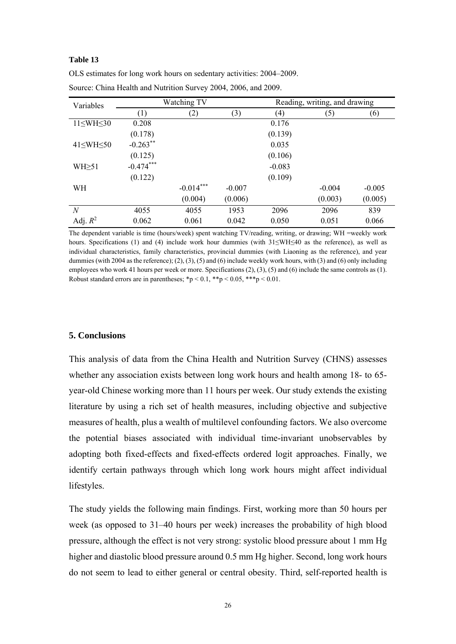#### **Table 13**

| Variables            |             | Watching TV |          | Reading, writing, and drawing |          |          |  |
|----------------------|-------------|-------------|----------|-------------------------------|----------|----------|--|
|                      | (1)         | (2)         | (3)      | (4)                           | (5)      | (6)      |  |
| $11\leq WH\leq 30$   | 0.208       |             |          | 0.176                         |          |          |  |
|                      | (0.178)     |             |          | (0.139)                       |          |          |  |
| $41 \leq WH \leq 50$ | $-0.263**$  |             |          | 0.035                         |          |          |  |
|                      | (0.125)     |             |          | (0.106)                       |          |          |  |
| $WH \geq 51$         | $-0.474***$ |             |          | $-0.083$                      |          |          |  |
|                      | (0.122)     |             |          | (0.109)                       |          |          |  |
| WH                   |             | $-0.014***$ | $-0.007$ |                               | $-0.004$ | $-0.005$ |  |
|                      |             | (0.004)     | (0.006)  |                               | (0.003)  | (0.005)  |  |
| $\overline{N}$       | 4055        | 4055        | 1953     | 2096                          | 2096     | 839      |  |
| Adj. $R^2$           | 0.062       | 0.061       | 0.042    | 0.050                         | 0.051    | 0.066    |  |

OLS estimates for long work hours on sedentary activities: 2004–2009. Source: China Health and Nutrition Survey 2004, 2006, and 2009.

The dependent variable is time (hours/week) spent watching TV/reading, writing, or drawing; WH =weekly work hours. Specifications (1) and (4) include work hour dummies (with 31≤WH≤40 as the reference), as well as individual characteristics, family characteristics, provincial dummies (with Liaoning as the reference), and year dummies (with 2004 as the reference); (2), (3), (5) and (6) include weekly work hours, with (3) and (6) only including employees who work 41 hours per week or more. Specifications (2), (3), (5) and (6) include the same controls as (1). Robust standard errors are in parentheses;  $\frac{1}{2}p < 0.1$ ,  $\frac{1}{2}p < 0.05$ ,  $\frac{1}{2} \frac{1}{2}p < 0.01$ .

#### **5. Conclusions**

This analysis of data from the China Health and Nutrition Survey (CHNS) assesses whether any association exists between long work hours and health among 18- to 65 year-old Chinese working more than 11 hours per week. Our study extends the existing literature by using a rich set of health measures, including objective and subjective measures of health, plus a wealth of multilevel confounding factors. We also overcome the potential biases associated with individual time-invariant unobservables by adopting both fixed-effects and fixed-effects ordered logit approaches. Finally, we identify certain pathways through which long work hours might affect individual lifestyles.

The study yields the following main findings. First, working more than 50 hours per week (as opposed to 31–40 hours per week) increases the probability of high blood pressure, although the effect is not very strong: systolic blood pressure about 1 mm Hg higher and diastolic blood pressure around 0.5 mm Hg higher. Second, long work hours do not seem to lead to either general or central obesity. Third, self-reported health is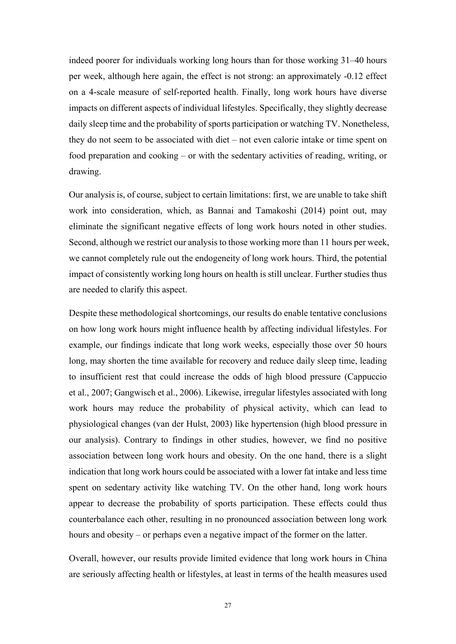indeed poorer for individuals working long hours than for those working 31–40 hours per week, although here again, the effect is not strong: an approximately -0.12 effect on a 4-scale measure of self-reported health. Finally, long work hours have diverse impacts on different aspects of individual lifestyles. Specifically, they slightly decrease daily sleep time and the probability of sports participation or watching TV. Nonetheless, they do not seem to be associated with diet – not even calorie intake or time spent on food preparation and cooking – or with the sedentary activities of reading, writing, or drawing.

Our analysis is, of course, subject to certain limitations: first, we are unable to take shift work into consideration, which, as Bannai and Tamakoshi (2014) point out, may eliminate the significant negative effects of long work hours noted in other studies. Second, although we restrict our analysis to those working more than 11 hours per week, we cannot completely rule out the endogeneity of long work hours. Third, the potential impact of consistently working long hours on health is still unclear. Further studies thus are needed to clarify this aspect.

Despite these methodological shortcomings, our results do enable tentative conclusions on how long work hours might influence health by affecting individual lifestyles. For example, our findings indicate that long work weeks, especially those over 50 hours long, may shorten the time available for recovery and reduce daily sleep time, leading to insufficient rest that could increase the odds of high blood pressure (Cappuccio et al., 2007; Gangwisch et al., 2006). Likewise, irregular lifestyles associated with long work hours may reduce the probability of physical activity, which can lead to physiological changes (van der Hulst, 2003) like hypertension (high blood pressure in our analysis). Contrary to findings in other studies, however, we find no positive association between long work hours and obesity. On the one hand, there is a slight indication that long work hours could be associated with a lower fat intake and less time spent on sedentary activity like watching TV. On the other hand, long work hours appear to decrease the probability of sports participation. These effects could thus counterbalance each other, resulting in no pronounced association between long work hours and obesity – or perhaps even a negative impact of the former on the latter.

Overall, however, our results provide limited evidence that long work hours in China are seriously affecting health or lifestyles, at least in terms of the health measures used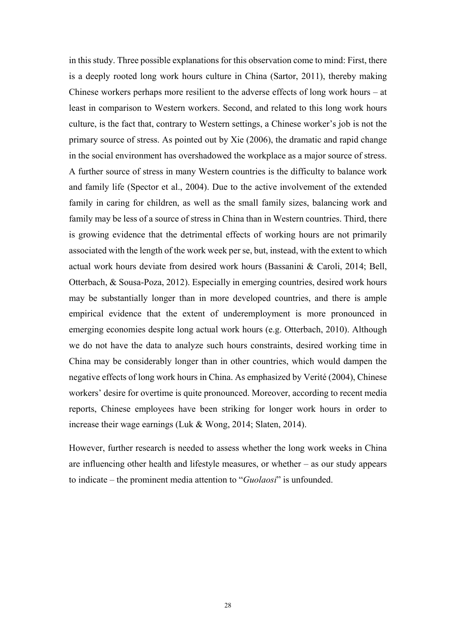in this study. Three possible explanations for this observation come to mind: First, there is a deeply rooted long work hours culture in China (Sartor, 2011), thereby making Chinese workers perhaps more resilient to the adverse effects of long work hours – at least in comparison to Western workers. Second, and related to this long work hours culture, is the fact that, contrary to Western settings, a Chinese worker's job is not the primary source of stress. As pointed out by Xie (2006), the dramatic and rapid change in the social environment has overshadowed the workplace as a major source of stress. A further source of stress in many Western countries is the difficulty to balance work and family life (Spector et al., 2004). Due to the active involvement of the extended family in caring for children, as well as the small family sizes, balancing work and family may be less of a source of stress in China than in Western countries. Third, there is growing evidence that the detrimental effects of working hours are not primarily associated with the length of the work week per se, but, instead, with the extent to which actual work hours deviate from desired work hours (Bassanini & Caroli, 2014; Bell, Otterbach, & Sousa-Poza, 2012). Especially in emerging countries, desired work hours may be substantially longer than in more developed countries, and there is ample empirical evidence that the extent of underemployment is more pronounced in emerging economies despite long actual work hours (e.g. Otterbach, 2010). Although we do not have the data to analyze such hours constraints, desired working time in China may be considerably longer than in other countries, which would dampen the negative effects of long work hours in China. As emphasized by Verité (2004), Chinese workers' desire for overtime is quite pronounced. Moreover, according to recent media reports, Chinese employees have been striking for longer work hours in order to increase their wage earnings (Luk & Wong, 2014; Slaten, 2014).

However, further research is needed to assess whether the long work weeks in China are influencing other health and lifestyle measures, or whether – as our study appears to indicate – the prominent media attention to "*Guolaosi*" is unfounded.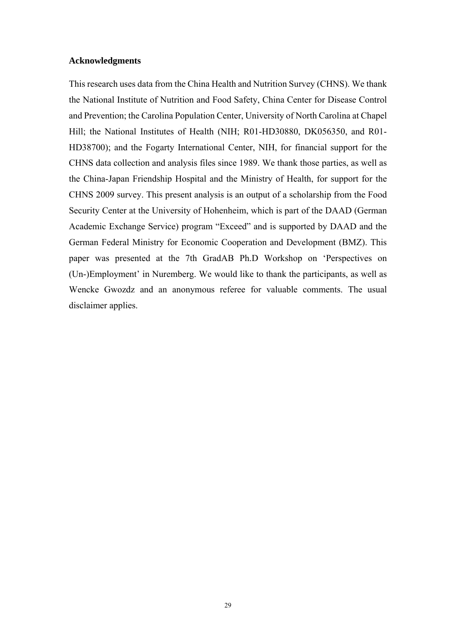#### **Acknowledgments**

This research uses data from the China Health and Nutrition Survey (CHNS). We thank the National Institute of Nutrition and Food Safety, China Center for Disease Control and Prevention; the Carolina Population Center, University of North Carolina at Chapel Hill; the National Institutes of Health (NIH; R01-HD30880, DK056350, and R01- HD38700); and the Fogarty International Center, NIH, for financial support for the CHNS data collection and analysis files since 1989. We thank those parties, as well as the China-Japan Friendship Hospital and the Ministry of Health, for support for the CHNS 2009 survey. This present analysis is an output of a scholarship from the Food Security Center at the University of Hohenheim, which is part of the DAAD (German Academic Exchange Service) program "Exceed" and is supported by DAAD and the German Federal Ministry for Economic Cooperation and Development (BMZ). This paper was presented at the 7th GradAB Ph.D Workshop on 'Perspectives on (Un-)Employment' in Nuremberg. We would like to thank the participants, as well as Wencke Gwozdz and an anonymous referee for valuable comments. The usual disclaimer applies.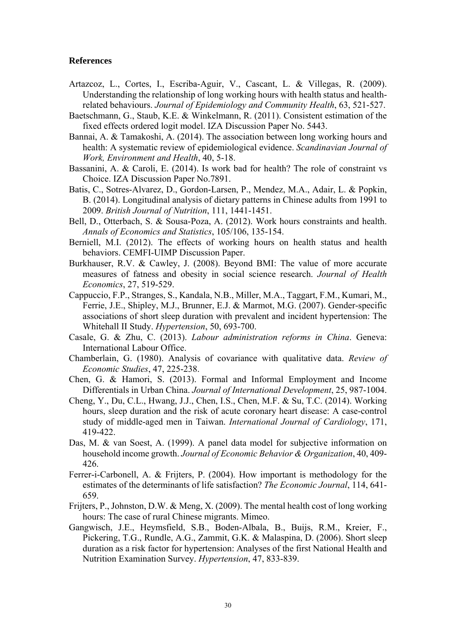#### **References**

- Artazcoz, L., Cortes, I., Escriba-Aguir, V., Cascant, L. & Villegas, R. (2009). Understanding the relationship of long working hours with health status and healthrelated behaviours. *Journal of Epidemiology and Community Health*, 63, 521-527.
- Baetschmann, G., Staub, K.E. & Winkelmann, R. (2011). Consistent estimation of the fixed effects ordered logit model. IZA Discussion Paper No. 5443.
- Bannai, A. & Tamakoshi, A. (2014). The association between long working hours and health: A systematic review of epidemiological evidence. *Scandinavian Journal of Work, Environment and Health*, 40, 5-18.
- Bassanini, A. & Caroli, E. (2014). Is work bad for health? The role of constraint vs Choice. IZA Discussion Paper No.7891.
- Batis, C., Sotres-Alvarez, D., Gordon-Larsen, P., Mendez, M.A., Adair, L. & Popkin, B. (2014). Longitudinal analysis of dietary patterns in Chinese adults from 1991 to 2009. *British Journal of Nutrition*, 111, 1441-1451.
- Bell, D., Otterbach, S. & Sousa-Poza, A. (2012). Work hours constraints and health. *Annals of Economics and Statistics*, 105/106, 135-154.
- Berniell, M.I. (2012). The effects of working hours on health status and health behaviors. CEMFI-UIMP Discussion Paper.
- Burkhauser, R.V. & Cawley, J. (2008). Beyond BMI: The value of more accurate measures of fatness and obesity in social science research. *Journal of Health Economics*, 27, 519-529.
- Cappuccio, F.P., Stranges, S., Kandala, N.B., Miller, M.A., Taggart, F.M., Kumari, M., Ferrie, J.E., Shipley, M.J., Brunner, E.J. & Marmot, M.G. (2007). Gender-specific associations of short sleep duration with prevalent and incident hypertension: The Whitehall II Study. *Hypertension*, 50, 693-700.
- Casale, G. & Zhu, C. (2013). *Labour administration reforms in China*. Geneva: International Labour Office.
- Chamberlain, G. (1980). Analysis of covariance with qualitative data. *Review of Economic Studies*, 47, 225-238.
- Chen, G. & Hamori, S. (2013). Formal and Informal Employment and Income Differentials in Urban China. *Journal of International Development*, 25, 987-1004.
- Cheng, Y., Du, C.L., Hwang, J.J., Chen, I.S., Chen, M.F. & Su, T.C. (2014). Working hours, sleep duration and the risk of acute coronary heart disease: A case-control study of middle-aged men in Taiwan. *International Journal of Cardiology*, 171, 419-422.
- Das, M. & van Soest, A. (1999). A panel data model for subjective information on household income growth. *Journal of Economic Behavior & Organization*, 40, 409- 426.
- Ferrer-i-Carbonell, A. & Frijters, P. (2004). How important is methodology for the estimates of the determinants of life satisfaction? *The Economic Journal*, 114, 641- 659.
- Frijters, P., Johnston, D.W. & Meng, X. (2009). The mental health cost of long working hours: The case of rural Chinese migrants. Mimeo.
- Gangwisch, J.E., Heymsfield, S.B., Boden-Albala, B., Buijs, R.M., Kreier, F., Pickering, T.G., Rundle, A.G., Zammit, G.K. & Malaspina, D. (2006). Short sleep duration as a risk factor for hypertension: Analyses of the first National Health and Nutrition Examination Survey. *Hypertension*, 47, 833-839.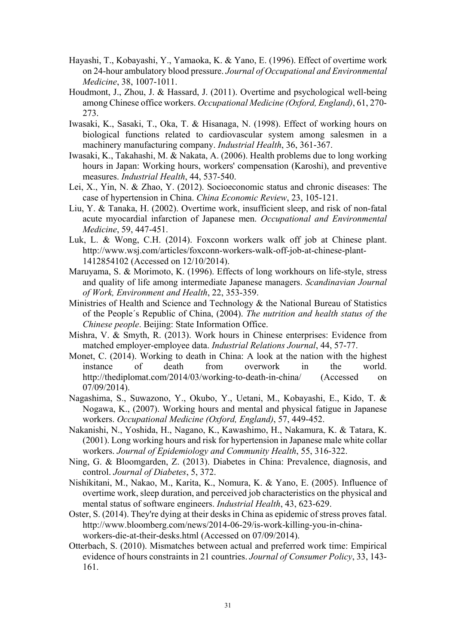- Hayashi, T., Kobayashi, Y., Yamaoka, K. & Yano, E. (1996). Effect of overtime work on 24-hour ambulatory blood pressure. *Journal of Occupational and Environmental Medicine*, 38, 1007-1011.
- Houdmont, J., Zhou, J. & Hassard, J. (2011). Overtime and psychological well-being among Chinese office workers. *Occupational Medicine (Oxford, England)*, 61, 270- 273.
- Iwasaki, K., Sasaki, T., Oka, T. & Hisanaga, N. (1998). Effect of working hours on biological functions related to cardiovascular system among salesmen in a machinery manufacturing company. *Industrial Health*, 36, 361-367.
- Iwasaki, K., Takahashi, M. & Nakata, A. (2006). Health problems due to long working hours in Japan: Working hours, workers' compensation (Karoshi), and preventive measures. *Industrial Health*, 44, 537-540.
- Lei, X., Yin, N. & Zhao, Y. (2012). Socioeconomic status and chronic diseases: The case of hypertension in China. *China Economic Review*, 23, 105-121.
- Liu, Y. & Tanaka, H. (2002). Overtime work, insufficient sleep, and risk of non-fatal acute myocardial infarction of Japanese men. *Occupational and Environmental Medicine*, 59, 447-451.
- Luk, L. & Wong, C.H. (2014). Foxconn workers walk off job at Chinese plant. http://www.wsj.com/articles/foxconn-workers-walk-off-job-at-chinese-plant-1412854102 (Accessed on 12/10/2014).
- Maruyama, S. & Morimoto, K. (1996). Effects of long workhours on life-style, stress and quality of life among intermediate Japanese managers. *Scandinavian Journal of Work, Environment and Health*, 22, 353-359.
- Ministries of Health and Science and Technology & the National Bureau of Statistics of the People´s Republic of China, (2004). *The nutrition and health status of the Chinese people*. Beijing: State Information Office.
- Mishra, V. & Smyth, R. (2013). Work hours in Chinese enterprises: Evidence from matched employer-employee data. *Industrial Relations Journal*, 44, 57-77.
- Monet, C. (2014). Working to death in China: A look at the nation with the highest instance of death from overwork in the world. http://thediplomat.com/2014/03/working-to-death-in-china/ (Accessed on 07/09/2014).
- Nagashima, S., Suwazono, Y., Okubo, Y., Uetani, M., Kobayashi, E., Kido, T. & Nogawa, K., (2007). Working hours and mental and physical fatigue in Japanese workers. *Occupational Medicine (Oxford, England)*, 57, 449-452.
- Nakanishi, N., Yoshida, H., Nagano, K., Kawashimo, H., Nakamura, K. & Tatara, K. (2001). Long working hours and risk for hypertension in Japanese male white collar workers. *Journal of Epidemiology and Community Health*, 55, 316-322.
- Ning, G. & Bloomgarden, Z. (2013). Diabetes in China: Prevalence, diagnosis, and control. *Journal of Diabetes*, 5, 372.
- Nishikitani, M., Nakao, M., Karita, K., Nomura, K. & Yano, E. (2005). Influence of overtime work, sleep duration, and perceived job characteristics on the physical and mental status of software engineers. *Industrial Health*, 43, 623-629.
- Oster, S. (2014). They're dying at their desks in China as epidemic of stress proves fatal. http://www.bloomberg.com/news/2014-06-29/is-work-killing-you-in-chinaworkers-die-at-their-desks.html (Accessed on 07/09/2014).
- Otterbach, S. (2010). Mismatches between actual and preferred work time: Empirical evidence of hours constraints in 21 countries. *Journal of Consumer Policy*, 33, 143- 161.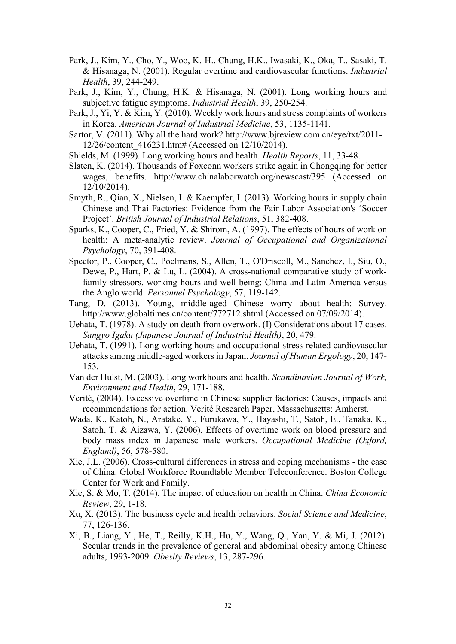- Park, J., Kim, Y., Cho, Y., Woo, K.-H., Chung, H.K., Iwasaki, K., Oka, T., Sasaki, T. & Hisanaga, N. (2001). Regular overtime and cardiovascular functions. *Industrial Health*, 39, 244-249.
- Park, J., Kim, Y., Chung, H.K. & Hisanaga, N. (2001). Long working hours and subjective fatigue symptoms. *Industrial Health*, 39, 250-254.
- Park, J., Yi, Y. & Kim, Y. (2010). Weekly work hours and stress complaints of workers in Korea. *American Journal of Industrial Medicine*, 53, 1135-1141.
- Sartor, V. (2011). Why all the hard work? http://www.bjreview.com.cn/eye/txt/2011- 12/26/content\_416231.htm# (Accessed on 12/10/2014).
- Shields, M. (1999). Long working hours and health. *Health Reports*, 11, 33-48.
- Slaten, K. (2014). Thousands of Foxconn workers strike again in Chongqing for better wages, benefits. http://www.chinalaborwatch.org/newscast/395 (Accessed on 12/10/2014).
- Smyth, R., Qian, X., Nielsen, I. & Kaempfer, I. (2013). Working hours in supply chain Chinese and Thai Factories: Evidence from the Fair Labor Association's 'Soccer Project'. *British Journal of Industrial Relations*, 51, 382-408.
- Sparks, K., Cooper, C., Fried, Y. & Shirom, A. (1997). The effects of hours of work on health: A meta-analytic review. *Journal of Occupational and Organizational Psychology*, 70, 391-408.
- Spector, P., Cooper, C., Poelmans, S., Allen, T., O'Driscoll, M., Sanchez, I., Siu, O., Dewe, P., Hart, P. & Lu, L. (2004). A cross-national comparative study of workfamily stressors, working hours and well-being: China and Latin America versus the Anglo world. *Personnel Psychology*, 57, 119-142.
- Tang, D. (2013). Young, middle-aged Chinese worry about health: Survey. http://www.globaltimes.cn/content/772712.shtml (Accessed on 07/09/2014).
- Uehata, T. (1978). A study on death from overwork. (I) Considerations about 17 cases. *Sangyo Igaku (Japanese Journal of Industrial Health)*, 20, 479.
- Uehata, T. (1991). Long working hours and occupational stress-related cardiovascular attacks among middle-aged workers in Japan. *Journal of Human Ergology*, 20, 147- 153.
- Van der Hulst, M. (2003). Long workhours and health. *Scandinavian Journal of Work, Environment and Health*, 29, 171-188.
- Verité, (2004). Excessive overtime in Chinese supplier factories: Causes, impacts and recommendations for action. Verité Research Paper, Massachusetts: Amherst.
- Wada, K., Katoh, N., Aratake, Y., Furukawa, Y., Hayashi, T., Satoh, E., Tanaka, K., Satoh, T. & Aizawa, Y. (2006). Effects of overtime work on blood pressure and body mass index in Japanese male workers. *Occupational Medicine (Oxford, England)*, 56, 578-580.
- Xie, J.L. (2006). Cross-cultural differences in stress and coping mechanisms the case of China. Global Workforce Roundtable Member Teleconference. Boston College Center for Work and Family.
- Xie, S. & Mo, T. (2014). The impact of education on health in China. *China Economic Review*, 29, 1-18.
- Xu, X. (2013). The business cycle and health behaviors. *Social Science and Medicine*, 77, 126-136.
- Xi, B., Liang, Y., He, T., Reilly, K.H., Hu, Y., Wang, Q., Yan, Y. & Mi, J. (2012). Secular trends in the prevalence of general and abdominal obesity among Chinese adults, 1993-2009. *Obesity Reviews*, 13, 287-296.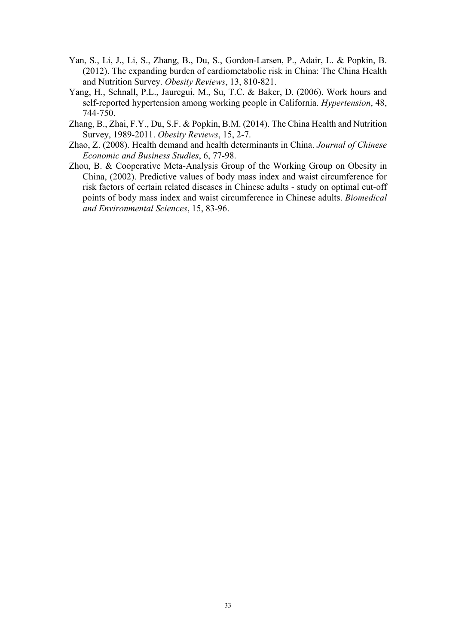- Yan, S., Li, J., Li, S., Zhang, B., Du, S., Gordon-Larsen, P., Adair, L. & Popkin, B. (2012). The expanding burden of cardiometabolic risk in China: The China Health and Nutrition Survey. *Obesity Reviews*, 13, 810-821.
- Yang, H., Schnall, P.L., Jauregui, M., Su, T.C. & Baker, D. (2006). Work hours and self-reported hypertension among working people in California. *Hypertension*, 48, 744-750.
- Zhang, B., Zhai, F.Y., Du, S.F. & Popkin, B.M. (2014). The China Health and Nutrition Survey, 1989-2011. *Obesity Reviews*, 15, 2-7.
- Zhao, Z. (2008). Health demand and health determinants in China. *Journal of Chinese Economic and Business Studies*, 6, 77-98.
- Zhou, B. & Cooperative Meta-Analysis Group of the Working Group on Obesity in China, (2002). Predictive values of body mass index and waist circumference for risk factors of certain related diseases in Chinese adults - study on optimal cut-off points of body mass index and waist circumference in Chinese adults. *Biomedical and Environmental Sciences*, 15, 83-96.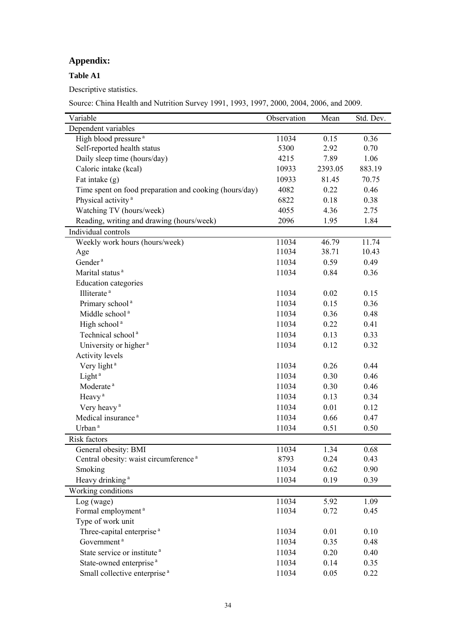### **Appendix:**

### **Table A1**

Descriptive statistics.

Source: China Health and Nutrition Survey 1991, 1993, 1997, 2000, 2004, 2006, and 2009.

| Dependent variables<br>High blood pressure <sup>a</sup><br>0.36<br>11034<br>0.15<br>Self-reported health status<br>5300<br>0.70<br>2.92<br>Daily sleep time (hours/day)<br>4215<br>7.89<br>1.06<br>883.19<br>Caloric intake (kcal)<br>10933<br>2393.05<br>Fat intake $(g)$<br>10933<br>81.45<br>70.75<br>Time spent on food preparation and cooking (hours/day)<br>4082<br>0.22<br>0.46<br>Physical activity <sup>a</sup><br>6822<br>0.18<br>0.38<br>Watching TV (hours/week)<br>4055<br>4.36<br>2.75<br>Reading, writing and drawing (hours/week)<br>2096<br>1.95<br>1.84<br>Individual controls<br>Weekly work hours (hours/week)<br>11034<br>11.74<br>46.79<br>11034<br>38.71<br>10.43<br>Age<br>Gender <sup>a</sup><br>11034<br>0.59<br>0.49<br>Marital status <sup>a</sup><br>0.36<br>11034<br>0.84<br><b>Education categories</b><br>Illiterate <sup>a</sup><br>11034<br>0.02<br>0.15<br>Primary school <sup>a</sup><br>11034<br>0.15<br>0.36<br>Middle school <sup>a</sup><br>11034<br>0.36<br>0.48<br>High school <sup>a</sup><br>11034<br>0.22<br>0.41<br>Technical school <sup>a</sup><br>11034<br>0.13<br>0.33<br>University or higher <sup>a</sup><br>11034<br>0.12<br>0.32<br><b>Activity levels</b><br>Very light <sup>a</sup><br>11034<br>0.26<br>0.44<br>Light <sup>a</sup><br>0.46<br>11034<br>0.30<br>Moderate <sup>a</sup><br>0.46<br>11034<br>0.30<br>Heavy <sup>a</sup><br>11034<br>0.34<br>0.13<br>Very heavy <sup>a</sup><br>11034<br>0.01<br>0.12<br>Medical insurance <sup>a</sup><br>11034<br>0.66<br>0.47<br>Urban <sup>a</sup><br>11034<br>0.51<br>0.50<br>Risk factors<br>1.34<br>General obesity: BMI<br>11034<br>0.68<br>8793<br>0.43<br>Central obesity: waist circumference <sup>a</sup><br>0.24<br>Smoking<br>11034<br>0.62<br>0.90<br>Heavy drinking <sup>a</sup><br>11034<br>0.19<br>0.39<br>Working conditions<br>11034<br>1.09<br>Log (wage)<br>5.92<br>Formal employment <sup>a</sup><br>11034<br>0.72<br>0.45<br>Type of work unit<br>Three-capital enterprise <sup>a</sup><br>11034<br>0.01<br>0.10<br>Government <sup>a</sup><br>11034<br>0.35<br>0.48<br>State service or institute <sup>a</sup><br>11034<br>0.20<br>0.40<br>State-owned enterprise <sup>a</sup><br>11034<br>0.14<br>0.35 | Variable | Observation | Mean | Std. Dev. |
|--------------------------------------------------------------------------------------------------------------------------------------------------------------------------------------------------------------------------------------------------------------------------------------------------------------------------------------------------------------------------------------------------------------------------------------------------------------------------------------------------------------------------------------------------------------------------------------------------------------------------------------------------------------------------------------------------------------------------------------------------------------------------------------------------------------------------------------------------------------------------------------------------------------------------------------------------------------------------------------------------------------------------------------------------------------------------------------------------------------------------------------------------------------------------------------------------------------------------------------------------------------------------------------------------------------------------------------------------------------------------------------------------------------------------------------------------------------------------------------------------------------------------------------------------------------------------------------------------------------------------------------------------------------------------------------------------------------------------------------------------------------------------------------------------------------------------------------------------------------------------------------------------------------------------------------------------------------------------------------------------------------------------------------------------------------------------------------------------------------------------------------------------------------------------------------------------------------------------------------|----------|-------------|------|-----------|
|                                                                                                                                                                                                                                                                                                                                                                                                                                                                                                                                                                                                                                                                                                                                                                                                                                                                                                                                                                                                                                                                                                                                                                                                                                                                                                                                                                                                                                                                                                                                                                                                                                                                                                                                                                                                                                                                                                                                                                                                                                                                                                                                                                                                                                      |          |             |      |           |
|                                                                                                                                                                                                                                                                                                                                                                                                                                                                                                                                                                                                                                                                                                                                                                                                                                                                                                                                                                                                                                                                                                                                                                                                                                                                                                                                                                                                                                                                                                                                                                                                                                                                                                                                                                                                                                                                                                                                                                                                                                                                                                                                                                                                                                      |          |             |      |           |
|                                                                                                                                                                                                                                                                                                                                                                                                                                                                                                                                                                                                                                                                                                                                                                                                                                                                                                                                                                                                                                                                                                                                                                                                                                                                                                                                                                                                                                                                                                                                                                                                                                                                                                                                                                                                                                                                                                                                                                                                                                                                                                                                                                                                                                      |          |             |      |           |
|                                                                                                                                                                                                                                                                                                                                                                                                                                                                                                                                                                                                                                                                                                                                                                                                                                                                                                                                                                                                                                                                                                                                                                                                                                                                                                                                                                                                                                                                                                                                                                                                                                                                                                                                                                                                                                                                                                                                                                                                                                                                                                                                                                                                                                      |          |             |      |           |
|                                                                                                                                                                                                                                                                                                                                                                                                                                                                                                                                                                                                                                                                                                                                                                                                                                                                                                                                                                                                                                                                                                                                                                                                                                                                                                                                                                                                                                                                                                                                                                                                                                                                                                                                                                                                                                                                                                                                                                                                                                                                                                                                                                                                                                      |          |             |      |           |
|                                                                                                                                                                                                                                                                                                                                                                                                                                                                                                                                                                                                                                                                                                                                                                                                                                                                                                                                                                                                                                                                                                                                                                                                                                                                                                                                                                                                                                                                                                                                                                                                                                                                                                                                                                                                                                                                                                                                                                                                                                                                                                                                                                                                                                      |          |             |      |           |
|                                                                                                                                                                                                                                                                                                                                                                                                                                                                                                                                                                                                                                                                                                                                                                                                                                                                                                                                                                                                                                                                                                                                                                                                                                                                                                                                                                                                                                                                                                                                                                                                                                                                                                                                                                                                                                                                                                                                                                                                                                                                                                                                                                                                                                      |          |             |      |           |
|                                                                                                                                                                                                                                                                                                                                                                                                                                                                                                                                                                                                                                                                                                                                                                                                                                                                                                                                                                                                                                                                                                                                                                                                                                                                                                                                                                                                                                                                                                                                                                                                                                                                                                                                                                                                                                                                                                                                                                                                                                                                                                                                                                                                                                      |          |             |      |           |
|                                                                                                                                                                                                                                                                                                                                                                                                                                                                                                                                                                                                                                                                                                                                                                                                                                                                                                                                                                                                                                                                                                                                                                                                                                                                                                                                                                                                                                                                                                                                                                                                                                                                                                                                                                                                                                                                                                                                                                                                                                                                                                                                                                                                                                      |          |             |      |           |
|                                                                                                                                                                                                                                                                                                                                                                                                                                                                                                                                                                                                                                                                                                                                                                                                                                                                                                                                                                                                                                                                                                                                                                                                                                                                                                                                                                                                                                                                                                                                                                                                                                                                                                                                                                                                                                                                                                                                                                                                                                                                                                                                                                                                                                      |          |             |      |           |
|                                                                                                                                                                                                                                                                                                                                                                                                                                                                                                                                                                                                                                                                                                                                                                                                                                                                                                                                                                                                                                                                                                                                                                                                                                                                                                                                                                                                                                                                                                                                                                                                                                                                                                                                                                                                                                                                                                                                                                                                                                                                                                                                                                                                                                      |          |             |      |           |
|                                                                                                                                                                                                                                                                                                                                                                                                                                                                                                                                                                                                                                                                                                                                                                                                                                                                                                                                                                                                                                                                                                                                                                                                                                                                                                                                                                                                                                                                                                                                                                                                                                                                                                                                                                                                                                                                                                                                                                                                                                                                                                                                                                                                                                      |          |             |      |           |
|                                                                                                                                                                                                                                                                                                                                                                                                                                                                                                                                                                                                                                                                                                                                                                                                                                                                                                                                                                                                                                                                                                                                                                                                                                                                                                                                                                                                                                                                                                                                                                                                                                                                                                                                                                                                                                                                                                                                                                                                                                                                                                                                                                                                                                      |          |             |      |           |
|                                                                                                                                                                                                                                                                                                                                                                                                                                                                                                                                                                                                                                                                                                                                                                                                                                                                                                                                                                                                                                                                                                                                                                                                                                                                                                                                                                                                                                                                                                                                                                                                                                                                                                                                                                                                                                                                                                                                                                                                                                                                                                                                                                                                                                      |          |             |      |           |
|                                                                                                                                                                                                                                                                                                                                                                                                                                                                                                                                                                                                                                                                                                                                                                                                                                                                                                                                                                                                                                                                                                                                                                                                                                                                                                                                                                                                                                                                                                                                                                                                                                                                                                                                                                                                                                                                                                                                                                                                                                                                                                                                                                                                                                      |          |             |      |           |
|                                                                                                                                                                                                                                                                                                                                                                                                                                                                                                                                                                                                                                                                                                                                                                                                                                                                                                                                                                                                                                                                                                                                                                                                                                                                                                                                                                                                                                                                                                                                                                                                                                                                                                                                                                                                                                                                                                                                                                                                                                                                                                                                                                                                                                      |          |             |      |           |
|                                                                                                                                                                                                                                                                                                                                                                                                                                                                                                                                                                                                                                                                                                                                                                                                                                                                                                                                                                                                                                                                                                                                                                                                                                                                                                                                                                                                                                                                                                                                                                                                                                                                                                                                                                                                                                                                                                                                                                                                                                                                                                                                                                                                                                      |          |             |      |           |
|                                                                                                                                                                                                                                                                                                                                                                                                                                                                                                                                                                                                                                                                                                                                                                                                                                                                                                                                                                                                                                                                                                                                                                                                                                                                                                                                                                                                                                                                                                                                                                                                                                                                                                                                                                                                                                                                                                                                                                                                                                                                                                                                                                                                                                      |          |             |      |           |
|                                                                                                                                                                                                                                                                                                                                                                                                                                                                                                                                                                                                                                                                                                                                                                                                                                                                                                                                                                                                                                                                                                                                                                                                                                                                                                                                                                                                                                                                                                                                                                                                                                                                                                                                                                                                                                                                                                                                                                                                                                                                                                                                                                                                                                      |          |             |      |           |
|                                                                                                                                                                                                                                                                                                                                                                                                                                                                                                                                                                                                                                                                                                                                                                                                                                                                                                                                                                                                                                                                                                                                                                                                                                                                                                                                                                                                                                                                                                                                                                                                                                                                                                                                                                                                                                                                                                                                                                                                                                                                                                                                                                                                                                      |          |             |      |           |
|                                                                                                                                                                                                                                                                                                                                                                                                                                                                                                                                                                                                                                                                                                                                                                                                                                                                                                                                                                                                                                                                                                                                                                                                                                                                                                                                                                                                                                                                                                                                                                                                                                                                                                                                                                                                                                                                                                                                                                                                                                                                                                                                                                                                                                      |          |             |      |           |
|                                                                                                                                                                                                                                                                                                                                                                                                                                                                                                                                                                                                                                                                                                                                                                                                                                                                                                                                                                                                                                                                                                                                                                                                                                                                                                                                                                                                                                                                                                                                                                                                                                                                                                                                                                                                                                                                                                                                                                                                                                                                                                                                                                                                                                      |          |             |      |           |
|                                                                                                                                                                                                                                                                                                                                                                                                                                                                                                                                                                                                                                                                                                                                                                                                                                                                                                                                                                                                                                                                                                                                                                                                                                                                                                                                                                                                                                                                                                                                                                                                                                                                                                                                                                                                                                                                                                                                                                                                                                                                                                                                                                                                                                      |          |             |      |           |
|                                                                                                                                                                                                                                                                                                                                                                                                                                                                                                                                                                                                                                                                                                                                                                                                                                                                                                                                                                                                                                                                                                                                                                                                                                                                                                                                                                                                                                                                                                                                                                                                                                                                                                                                                                                                                                                                                                                                                                                                                                                                                                                                                                                                                                      |          |             |      |           |
|                                                                                                                                                                                                                                                                                                                                                                                                                                                                                                                                                                                                                                                                                                                                                                                                                                                                                                                                                                                                                                                                                                                                                                                                                                                                                                                                                                                                                                                                                                                                                                                                                                                                                                                                                                                                                                                                                                                                                                                                                                                                                                                                                                                                                                      |          |             |      |           |
|                                                                                                                                                                                                                                                                                                                                                                                                                                                                                                                                                                                                                                                                                                                                                                                                                                                                                                                                                                                                                                                                                                                                                                                                                                                                                                                                                                                                                                                                                                                                                                                                                                                                                                                                                                                                                                                                                                                                                                                                                                                                                                                                                                                                                                      |          |             |      |           |
|                                                                                                                                                                                                                                                                                                                                                                                                                                                                                                                                                                                                                                                                                                                                                                                                                                                                                                                                                                                                                                                                                                                                                                                                                                                                                                                                                                                                                                                                                                                                                                                                                                                                                                                                                                                                                                                                                                                                                                                                                                                                                                                                                                                                                                      |          |             |      |           |
|                                                                                                                                                                                                                                                                                                                                                                                                                                                                                                                                                                                                                                                                                                                                                                                                                                                                                                                                                                                                                                                                                                                                                                                                                                                                                                                                                                                                                                                                                                                                                                                                                                                                                                                                                                                                                                                                                                                                                                                                                                                                                                                                                                                                                                      |          |             |      |           |
|                                                                                                                                                                                                                                                                                                                                                                                                                                                                                                                                                                                                                                                                                                                                                                                                                                                                                                                                                                                                                                                                                                                                                                                                                                                                                                                                                                                                                                                                                                                                                                                                                                                                                                                                                                                                                                                                                                                                                                                                                                                                                                                                                                                                                                      |          |             |      |           |
|                                                                                                                                                                                                                                                                                                                                                                                                                                                                                                                                                                                                                                                                                                                                                                                                                                                                                                                                                                                                                                                                                                                                                                                                                                                                                                                                                                                                                                                                                                                                                                                                                                                                                                                                                                                                                                                                                                                                                                                                                                                                                                                                                                                                                                      |          |             |      |           |
|                                                                                                                                                                                                                                                                                                                                                                                                                                                                                                                                                                                                                                                                                                                                                                                                                                                                                                                                                                                                                                                                                                                                                                                                                                                                                                                                                                                                                                                                                                                                                                                                                                                                                                                                                                                                                                                                                                                                                                                                                                                                                                                                                                                                                                      |          |             |      |           |
|                                                                                                                                                                                                                                                                                                                                                                                                                                                                                                                                                                                                                                                                                                                                                                                                                                                                                                                                                                                                                                                                                                                                                                                                                                                                                                                                                                                                                                                                                                                                                                                                                                                                                                                                                                                                                                                                                                                                                                                                                                                                                                                                                                                                                                      |          |             |      |           |
|                                                                                                                                                                                                                                                                                                                                                                                                                                                                                                                                                                                                                                                                                                                                                                                                                                                                                                                                                                                                                                                                                                                                                                                                                                                                                                                                                                                                                                                                                                                                                                                                                                                                                                                                                                                                                                                                                                                                                                                                                                                                                                                                                                                                                                      |          |             |      |           |
|                                                                                                                                                                                                                                                                                                                                                                                                                                                                                                                                                                                                                                                                                                                                                                                                                                                                                                                                                                                                                                                                                                                                                                                                                                                                                                                                                                                                                                                                                                                                                                                                                                                                                                                                                                                                                                                                                                                                                                                                                                                                                                                                                                                                                                      |          |             |      |           |
|                                                                                                                                                                                                                                                                                                                                                                                                                                                                                                                                                                                                                                                                                                                                                                                                                                                                                                                                                                                                                                                                                                                                                                                                                                                                                                                                                                                                                                                                                                                                                                                                                                                                                                                                                                                                                                                                                                                                                                                                                                                                                                                                                                                                                                      |          |             |      |           |
|                                                                                                                                                                                                                                                                                                                                                                                                                                                                                                                                                                                                                                                                                                                                                                                                                                                                                                                                                                                                                                                                                                                                                                                                                                                                                                                                                                                                                                                                                                                                                                                                                                                                                                                                                                                                                                                                                                                                                                                                                                                                                                                                                                                                                                      |          |             |      |           |
|                                                                                                                                                                                                                                                                                                                                                                                                                                                                                                                                                                                                                                                                                                                                                                                                                                                                                                                                                                                                                                                                                                                                                                                                                                                                                                                                                                                                                                                                                                                                                                                                                                                                                                                                                                                                                                                                                                                                                                                                                                                                                                                                                                                                                                      |          |             |      |           |
|                                                                                                                                                                                                                                                                                                                                                                                                                                                                                                                                                                                                                                                                                                                                                                                                                                                                                                                                                                                                                                                                                                                                                                                                                                                                                                                                                                                                                                                                                                                                                                                                                                                                                                                                                                                                                                                                                                                                                                                                                                                                                                                                                                                                                                      |          |             |      |           |
|                                                                                                                                                                                                                                                                                                                                                                                                                                                                                                                                                                                                                                                                                                                                                                                                                                                                                                                                                                                                                                                                                                                                                                                                                                                                                                                                                                                                                                                                                                                                                                                                                                                                                                                                                                                                                                                                                                                                                                                                                                                                                                                                                                                                                                      |          |             |      |           |
|                                                                                                                                                                                                                                                                                                                                                                                                                                                                                                                                                                                                                                                                                                                                                                                                                                                                                                                                                                                                                                                                                                                                                                                                                                                                                                                                                                                                                                                                                                                                                                                                                                                                                                                                                                                                                                                                                                                                                                                                                                                                                                                                                                                                                                      |          |             |      |           |
|                                                                                                                                                                                                                                                                                                                                                                                                                                                                                                                                                                                                                                                                                                                                                                                                                                                                                                                                                                                                                                                                                                                                                                                                                                                                                                                                                                                                                                                                                                                                                                                                                                                                                                                                                                                                                                                                                                                                                                                                                                                                                                                                                                                                                                      |          |             |      |           |
|                                                                                                                                                                                                                                                                                                                                                                                                                                                                                                                                                                                                                                                                                                                                                                                                                                                                                                                                                                                                                                                                                                                                                                                                                                                                                                                                                                                                                                                                                                                                                                                                                                                                                                                                                                                                                                                                                                                                                                                                                                                                                                                                                                                                                                      |          |             |      |           |
|                                                                                                                                                                                                                                                                                                                                                                                                                                                                                                                                                                                                                                                                                                                                                                                                                                                                                                                                                                                                                                                                                                                                                                                                                                                                                                                                                                                                                                                                                                                                                                                                                                                                                                                                                                                                                                                                                                                                                                                                                                                                                                                                                                                                                                      |          |             |      |           |
| Small collective enterprise <sup>a</sup><br>11034<br>0.05<br>0.22                                                                                                                                                                                                                                                                                                                                                                                                                                                                                                                                                                                                                                                                                                                                                                                                                                                                                                                                                                                                                                                                                                                                                                                                                                                                                                                                                                                                                                                                                                                                                                                                                                                                                                                                                                                                                                                                                                                                                                                                                                                                                                                                                                    |          |             |      |           |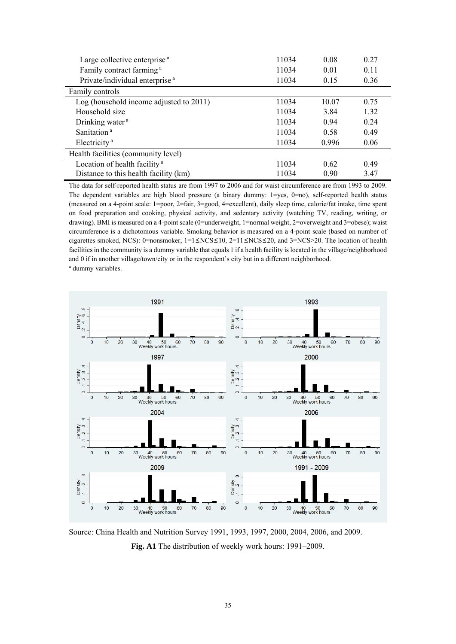| Large collective enterprise <sup>a</sup>   | 11034 | 0.08  | 0.27 |
|--------------------------------------------|-------|-------|------|
| Family contract farming <sup>a</sup>       | 11034 | 0.01  | 0.11 |
| Private/individual enterprise <sup>a</sup> | 11034 | 0.15  | 0.36 |
| Family controls                            |       |       |      |
| Log (household income adjusted to 2011)    | 11034 | 10.07 | 0.75 |
| Household size                             | 11034 | 3.84  | 1 32 |
| Drinking water <sup>a</sup>                | 11034 | 0.94  | 0.24 |
| Sanitation <sup>a</sup>                    | 11034 | 0.58  | 0.49 |
| Electricity <sup>a</sup>                   | 11034 | 0.996 | 0.06 |
| Health facilities (community level)        |       |       |      |
| Location of health facility <sup>a</sup>   | 11034 | 0.62  | 0.49 |
| Distance to this health facility (km)      | 11034 | 0.90  | 3.47 |

The data for self-reported health status are from 1997 to 2006 and for waist circumference are from 1993 to 2009. The dependent variables are high blood pressure (a binary dummy: 1=yes, 0=no), self-reported health status (measured on a 4-point scale: 1=poor, 2=fair, 3=good, 4=excellent), daily sleep time, calorie/fat intake, time spent on food preparation and cooking, physical activity, and sedentary activity (watching TV, reading, writing, or drawing). BMI is measured on a 4-point scale (0=underweight, 1=normal weight, 2=overweight and 3=obese); waist circumference is a dichotomous variable. Smoking behavior is measured on a 4-point scale (based on number of cigarettes smoked, NCS): 0=nonsmoker, 1=1≤NCS≤10, 2=11≤NCS≤20, and 3=NCS>20. The location of health facilities in the community is a dummy variable that equals 1 if a health facility is located in the village/neighborhood and 0 if in another village/town/city or in the respondent's city but in a different neighborhood. a dummy variables.



Source: China Health and Nutrition Survey 1991, 1993, 1997, 2000, 2004, 2006, and 2009. **Fig. A1** The distribution of weekly work hours: 1991–2009.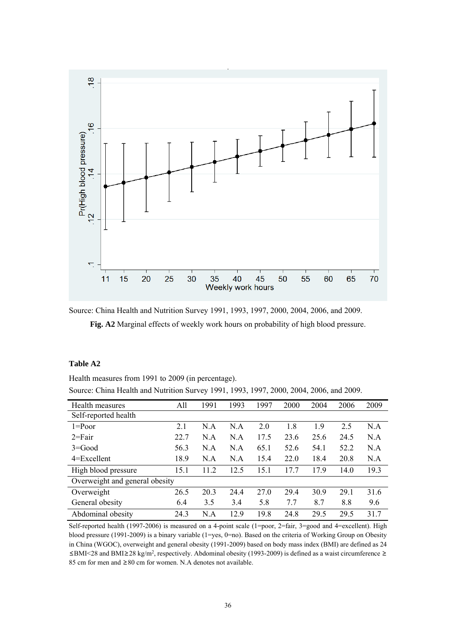

Source: China Health and Nutrition Survey 1991, 1993, 1997, 2000, 2004, 2006, and 2009.

**Fig. A2** Marginal effects of weekly work hours on probability of high blood pressure.

#### **Table A2**

Health measures from 1991 to 2009 (in percentage).

Source: China Health and Nutrition Survey 1991, 1993, 1997, 2000, 2004, 2006, and 2009.

| Health measures                | All  | 1991 | 1993 | 1997 | 2000 | 2004 | 2006 | 2009 |
|--------------------------------|------|------|------|------|------|------|------|------|
| Self-reported health           |      |      |      |      |      |      |      |      |
| $1 = P0$                       | 2.1  | N.A  | N.A  | 2.0  | 1.8  | 1.9  | 2.5  | N.A  |
| $2 = \text{Fair}$              | 22.7 | N.A  | N.A  | 17.5 | 23.6 | 25.6 | 24.5 | N.A  |
| $3 = Good$                     | 56.3 | N.A  | N.A  | 65.1 | 52.6 | 54.1 | 52.2 | N.A  |
| $4 = Excellent$                | 18.9 | N.A  | N.A  | 15.4 | 22.0 | 18.4 | 20.8 | N.A  |
| High blood pressure            | 15.1 | 11.2 | 12.5 | 15.1 | 17.7 | 179  | 14.0 | 19.3 |
| Overweight and general obesity |      |      |      |      |      |      |      |      |
| Overweight                     | 26.5 | 20.3 | 24.4 | 27.0 | 29.4 | 30.9 | 29.1 | 31.6 |
| General obesity                | 6.4  | 3.5  | 3.4  | 5.8  | 7.7  | 8.7  | 8.8  | 9.6  |
| Abdominal obesity              | 24.3 | N.A  | 12.9 | 19.8 | 24.8 | 29.5 | 29.5 | 31.7 |

Self-reported health (1997-2006) is measured on a 4-point scale (1=poor, 2=fair, 3=good and 4=excellent). High blood pressure (1991-2009) is a binary variable (1=yes, 0=no). Based on the criteria of Working Group on Obesity in China (WGOC), overweight and general obesity (1991-2009) based on body mass index (BMI) are defined as 24 ≤BMI<28 and BMI≥28 kg/m2, respectively. Abdominal obesity (1993-2009) is defined as a waist circumference ≥ 85 cm for men and ≥80 cm for women. N.A denotes not available.